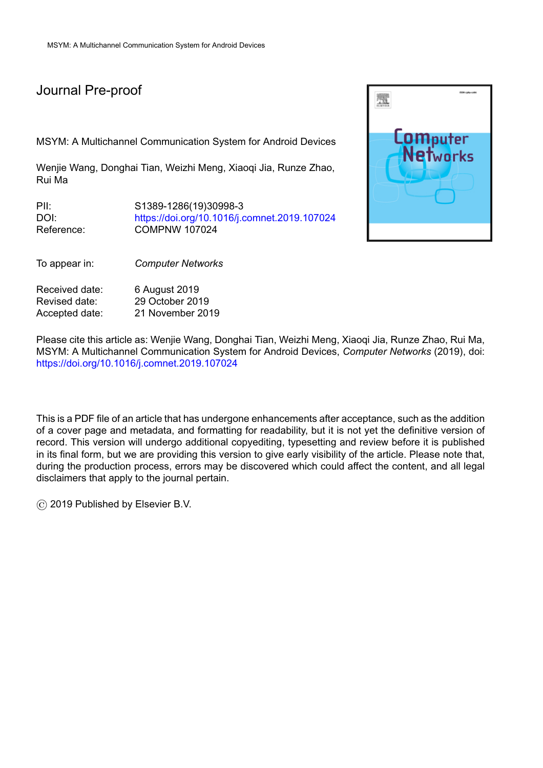# Journal Pre-proof

MSYM: A Multichannel Communication System for Android Devices

Wenjie Wang, Donghai Tian, Weizhi Meng, Xiaoqi Jia, Runze Zhao, Rui Ma

PII: S1389-1286(19)30998-3 DOI: <https://doi.org/10.1016/j.comnet.2019.107024> Reference: COMPNW 107024

To appear in: *Computer Networks*

Received date: 6 August 2019 Revised date: 29 October 2019 Accepted date: 21 November 2019 霽 **Lomputer** Networks

Please cite this article as: Wenjie Wang, Donghai Tian, Weizhi Meng, Xiaoqi Jia, Runze Zhao, Rui Ma, MSYM: A Multichannel Communication System for Android Devices, *Computer Networks* (2019), doi: <https://doi.org/10.1016/j.comnet.2019.107024>

This is a PDF file of an article that has undergone enhancements after acceptance, such as the addition of a cover page and metadata, and formatting for readability, but it is not yet the definitive version of record. This version will undergo additional copyediting, typesetting and review before it is published in its final form, but we are providing this version to give early visibility of the article. Please note that, during the production process, errors may be discovered which could affect the content, and all legal disclaimers that apply to the journal pertain.

© 2019 Published by Elsevier B.V.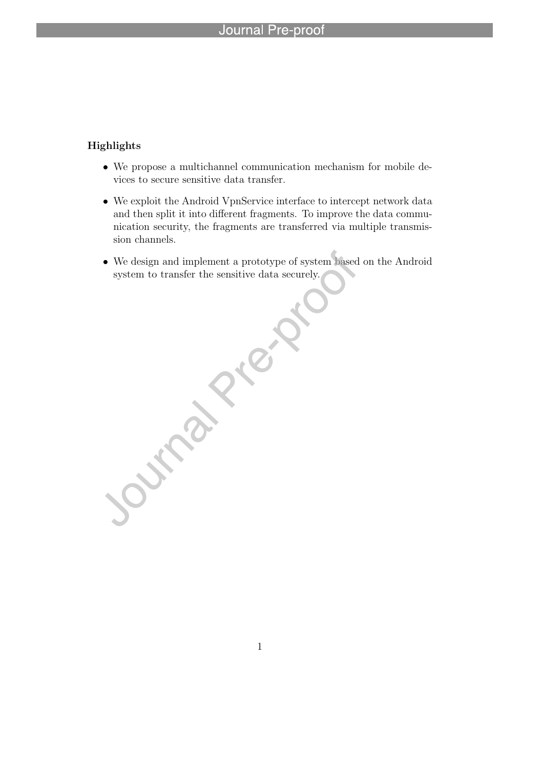# Highlights

- We propose a multichannel communication mechanism for mobile devices to secure sensitive data transfer.
- We exploit the Android VpnService interface to intercept network data and then split it into different fragments. To improve the data communication security, the fragments are transferred via multiple transmission channels.
- We design and implement a prototype of system based on the Android system to transfer the sensitive data securely.

**Algeby**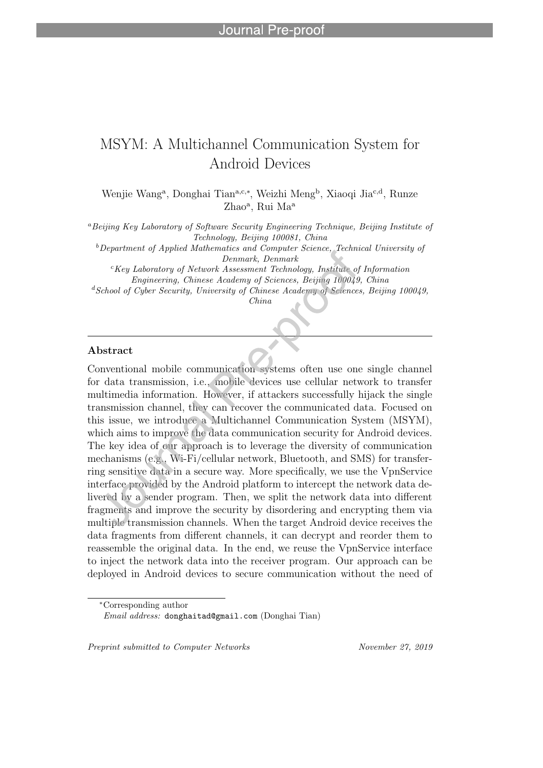# MSYM: A Multichannel Communication System for Android Devices

Wenjie Wang<sup>a</sup>, Donghai Tian<sup>a,c,\*</sup>, Weizhi Meng<sup>b</sup>, Xiaoqi Jia<sup>c,d</sup>, Runze Zhao<sup>a</sup>, Rui Ma<sup>a</sup>

<sup>a</sup>Beijing Key Laboratory of Software Security Engineering Technique, Beijing Institute of Technology, Beijing 100081, China

<sup>b</sup>Department of Applied Mathematics and Computer Science, Technical University of Denmark, Denmark

 $c$ Key Laboratory of Network Assessment Technology, Institute of Information Engineering, Chinese Academy of Sciences, Beijing 100049, China <sup>d</sup>School of Cyber Security, University of Chinese Academy of Sciences, Beijing 100049,

China

# Abstract

Conventional mobile communication systems often use one single channel for data transmission, i.e., mobile devices use cellular network to transfer multimedia information. However, if attackers successfully hijack the single transmission channel, they can recover the communicated data. Focused on this issue, we introduce a Multichannel Communication System (MSYM), which aims to improve the data communication security for Android devices. The key idea of our approach is to leverage the diversity of communication mechanisms (e.g., Wi-Fi/cellular network, Bluetooth, and SMS) for transferring sensitive data in a secure way. More specifically, we use the VpnService interface provided by the Android platform to intercept the network data delivered by a sender program. Then, we split the network data into different fragments and improve the security by disordering and encrypting them via multiple transmission channels. When the target Android device receives the data fragments from different channels, it can decrypt and reorder them to reassemble the original data. In the end, we reuse the VpnService interface to inject the network data into the receiver program. Our approach can be deployed in Android devices to secure communication without the need of

Preprint submitted to Computer Networks November 27, 2019

<sup>∗</sup>Corresponding author

Email address: donghaitad@gmail.com (Donghai Tian)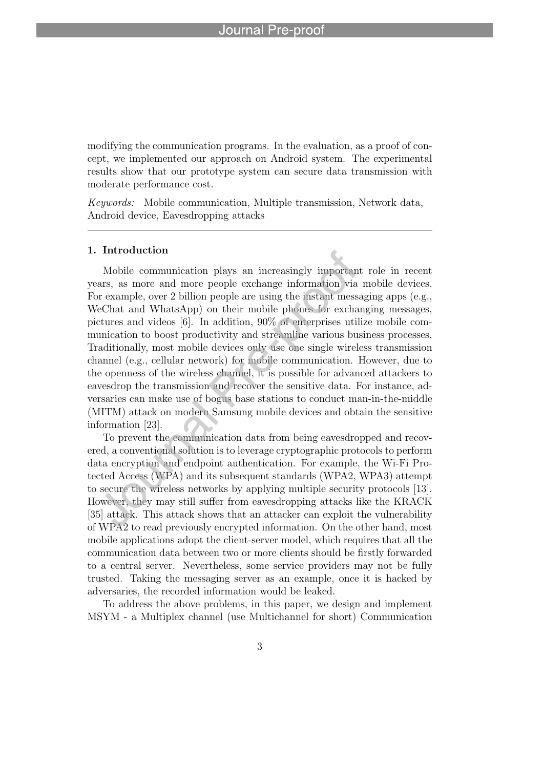modifying the communication programs. In the evaluation, as a proof of concept, we implemented our approach on Android system. The experimental results show that our prototype system can secure data transmission with moderate performance cost.

Keywords: Mobile communication, Multiple transmission, Network data, Android device, Eavesdropping attacks

# 1. Introduction

Mobile communication plays an increasingly important role in recent years, as more and more people exchange information via mobile devices. For example, over 2 billion people are using the instant messaging apps (e.g., WeChat and WhatsApp) on their mobile phones for exchanging messages, pictures and videos [6]. In addition, 90% of enterprises utilize mobile communication to boost productivity and streamline various business processes. Traditionally, most mobile devices only use one single wireless transmission channel (e.g., cellular network) for mobile communication. However, due to the openness of the wireless channel, it is possible for advanced attackers to eavesdrop the transmission and recover the sensitive data. For instance, adversaries can make use of bogus base stations to conduct man-in-the-middle (MITM) attack on modern Samsung mobile devices and obtain the sensitive information [23].

To prevent the communication data from being eavesdropped and recovered, a conventional solution is to leverage cryptographic protocols to perform data encryption and endpoint authentication. For example, the Wi-Fi Protected Access (WPA) and its subsequent standards (WPA2, WPA3) attempt to secure the wireless networks by applying multiple security protocols [13]. However, they may still suffer from eavesdropping attacks like the KRACK [35] attack. This attack shows that an attacker can exploit the vulnerability of WPA2 to read previously encrypted information. On the other hand, most mobile applications adopt the client-server model, which requires that all the communication data between two or more clients should be firstly forwarded to a central server. Nevertheless, some service providers may not be fully trusted. Taking the messaging server as an example, once it is hacked by adversaries, the recorded information would be leaked.

To address the above problems, in this paper, we design and implement MSYM - a Multiplex channel (use Multichannel for short) Communication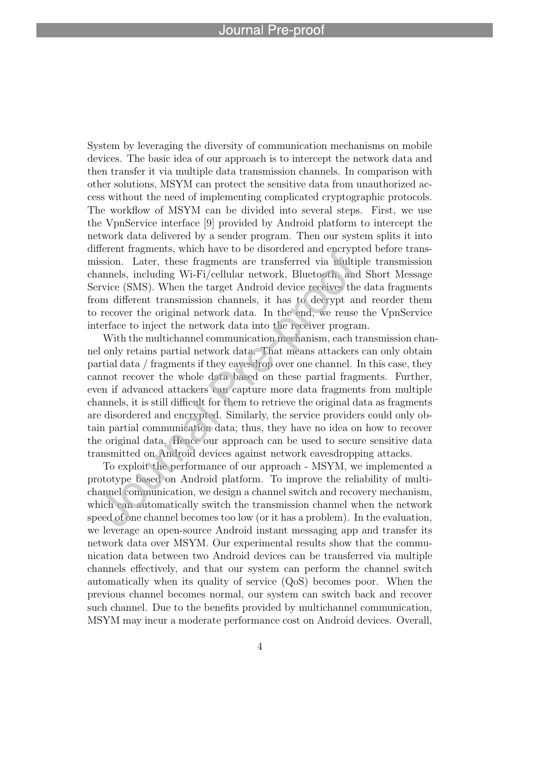System by leveraging the diversity of communication mechanisms on mobile devices. The basic idea of our approach is to intercept the network data and then transfer it via multiple data transmission channels. In comparison with other solutions, MSYM can protect the sensitive data from unauthorized access without the need of implementing complicated cryptographic protocols. The workflow of MSYM can be divided into several steps. First, we use the VpnService interface [9] provided by Android platform to intercept the network data delivered by a sender program. Then our system splits it into different fragments, which have to be disordered and encrypted before transmission. Later, these fragments are transferred via multiple transmission channels, including Wi-Fi/cellular network, Bluetooth, and Short Message Service (SMS). When the target Android device receives the data fragments from different transmission channels, it has to decrypt and reorder them to recover the original network data. In the end, we reuse the VpnService interface to inject the network data into the receiver program.

With the multichannel communication mechanism, each transmission channel only retains partial network data. That means attackers can only obtain partial data / fragments if they eavesdrop over one channel. In this case, they cannot recover the whole data based on these partial fragments. Further, even if advanced attackers can capture more data fragments from multiple channels, it is still difficult for them to retrieve the original data as fragments are disordered and encrypted. Similarly, the service providers could only obtain partial communication data; thus, they have no idea on how to recover the original data. Hence our approach can be used to secure sensitive data transmitted on Android devices against network eavesdropping attacks.

To exploit the performance of our approach - MSYM, we implemented a prototype based on Android platform. To improve the reliability of multichannel communication, we design a channel switch and recovery mechanism, which can automatically switch the transmission channel when the network speed of one channel becomes too low (or it has a problem). In the evaluation, we leverage an open-source Android instant messaging app and transfer its network data over MSYM. Our experimental results show that the communication data between two Android devices can be transferred via multiple channels effectively, and that our system can perform the channel switch automatically when its quality of service (QoS) becomes poor. When the previous channel becomes normal, our system can switch back and recover such channel. Due to the benefits provided by multichannel communication, MSYM may incur a moderate performance cost on Android devices. Overall,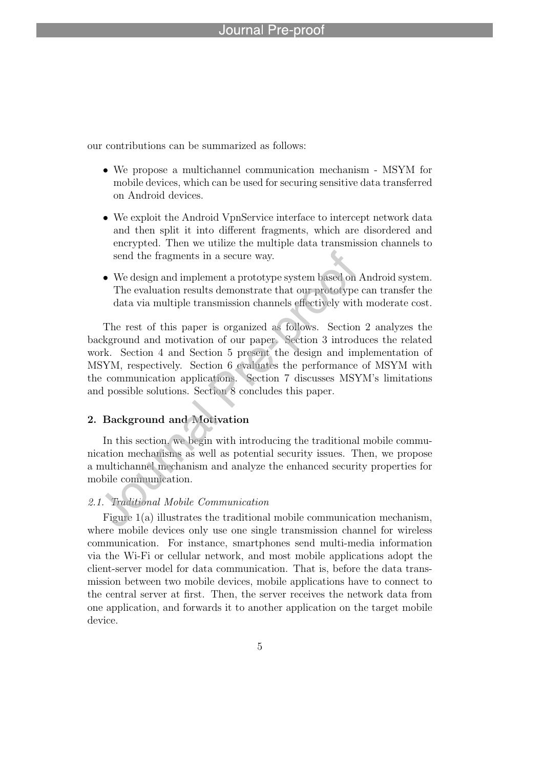our contributions can be summarized as follows:

l

- We propose a multichannel communication mechanism MSYM for mobile devices, which can be used for securing sensitive data transferred on Android devices.
- We exploit the Android VpnService interface to intercept network data and then split it into different fragments, which are disordered and encrypted. Then we utilize the multiple data transmission channels to send the fragments in a secure way.
- We design and implement a prototype system based on Android system. The evaluation results demonstrate that our prototype can transfer the data via multiple transmission channels effectively with moderate cost.

The rest of this paper is organized as follows. Section 2 analyzes the background and motivation of our paper. Section 3 introduces the related work. Section 4 and Section 5 present the design and implementation of MSYM, respectively. Section 6 evaluates the performance of MSYM with the communication applications. Section 7 discusses MSYM's limitations and possible solutions. Section 8 concludes this paper.

# 2. Background and Motivation

In this section, we begin with introducing the traditional mobile communication mechanisms as well as potential security issues. Then, we propose a multichannel mechanism and analyze the enhanced security properties for mobile communication.

# 2.1. Traditional Mobile Communication

Figure 1(a) illustrates the traditional mobile communication mechanism, where mobile devices only use one single transmission channel for wireless communication. For instance, smartphones send multi-media information via the Wi-Fi or cellular network, and most mobile applications adopt the client-server model for data communication. That is, before the data transmission between two mobile devices, mobile applications have to connect to the central server at first. Then, the server receives the network data from one application, and forwards it to another application on the target mobile device.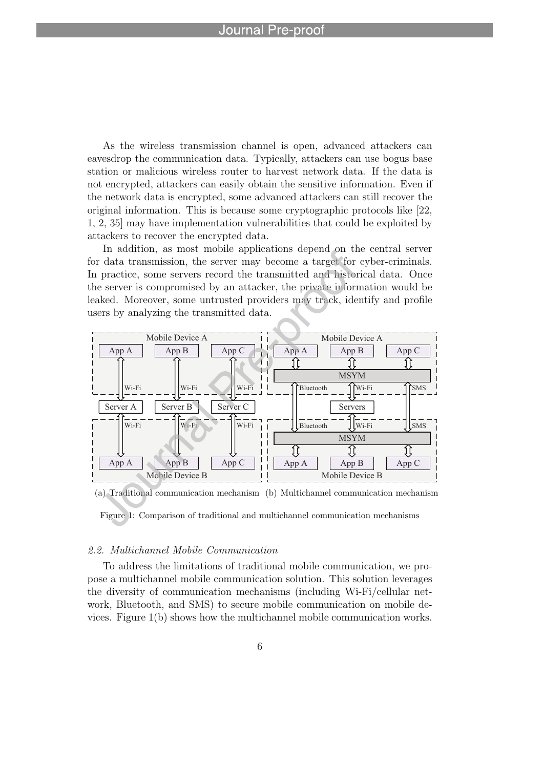As the wireless transmission channel is open, advanced attackers can eavesdrop the communication data. Typically, attackers can use bogus base station or malicious wireless router to harvest network data. If the data is not encrypted, attackers can easily obtain the sensitive information. Even if the network data is encrypted, some advanced attackers can still recover the original information. This is because some cryptographic protocols like [22, 1, 2, 35] may have implementation vulnerabilities that could be exploited by attackers to recover the encrypted data.

In addition, as most mobile applications depend on the central server for data transmission, the server may become a target for cyber-criminals. In practice, some servers record the transmitted and historical data. Once the server is compromised by an attacker, the private information would be leaked. Moreover, some untrusted providers may track, identify and profile users by analyzing the transmitted data.



(a) Traditional communication mechanism (b) Multichannel communication mechanism

Figure 1: Comparison of traditional and multichannel communication mechanisms

# 2.2. Multichannel Mobile Communication

To address the limitations of traditional mobile communication, we propose a multichannel mobile communication solution. This solution leverages the diversity of communication mechanisms (including Wi-Fi/cellular network, Bluetooth, and SMS) to secure mobile communication on mobile devices. Figure 1(b) shows how the multichannel mobile communication works.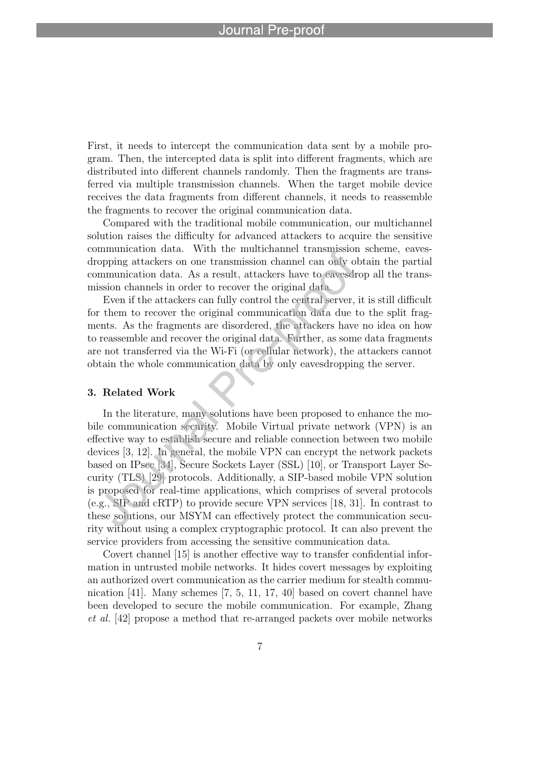First, it needs to intercept the communication data sent by a mobile program. Then, the intercepted data is split into different fragments, which are distributed into different channels randomly. Then the fragments are transferred via multiple transmission channels. When the target mobile device receives the data fragments from different channels, it needs to reassemble the fragments to recover the original communication data.

Compared with the traditional mobile communication, our multichannel solution raises the difficulty for advanced attackers to acquire the sensitive communication data. With the multichannel transmission scheme, eavesdropping attackers on one transmission channel can only obtain the partial communication data. As a result, attackers have to eavesdrop all the transmission channels in order to recover the original data.

Even if the attackers can fully control the central server, it is still difficult for them to recover the original communication data due to the split fragments. As the fragments are disordered, the attackers have no idea on how to reassemble and recover the original data. Further, as some data fragments are not transferred via the Wi-Fi (or cellular network), the attackers cannot obtain the whole communication data by only eavesdropping the server.

## 3. Related Work

In the literature, many solutions have been proposed to enhance the mobile communication security. Mobile Virtual private network (VPN) is an effective way to establish secure and reliable connection between two mobile devices [3, 12]. In general, the mobile VPN can encrypt the network packets based on IPsec [34], Secure Sockets Layer (SSL) [10], or Transport Layer Security (TLS) [29] protocols. Additionally, a SIP-based mobile VPN solution is proposed for real-time applications, which comprises of several protocols (e.g., SIP and cRTP) to provide secure VPN services [18, 31]. In contrast to these solutions, our MSYM can effectively protect the communication security without using a complex cryptographic protocol. It can also prevent the service providers from accessing the sensitive communication data.

Covert channel [15] is another effective way to transfer confidential information in untrusted mobile networks. It hides covert messages by exploiting an authorized overt communication as the carrier medium for stealth communication [41]. Many schemes [7, 5, 11, 17, 40] based on covert channel have been developed to secure the mobile communication. For example, Zhang et al. [42] propose a method that re-arranged packets over mobile networks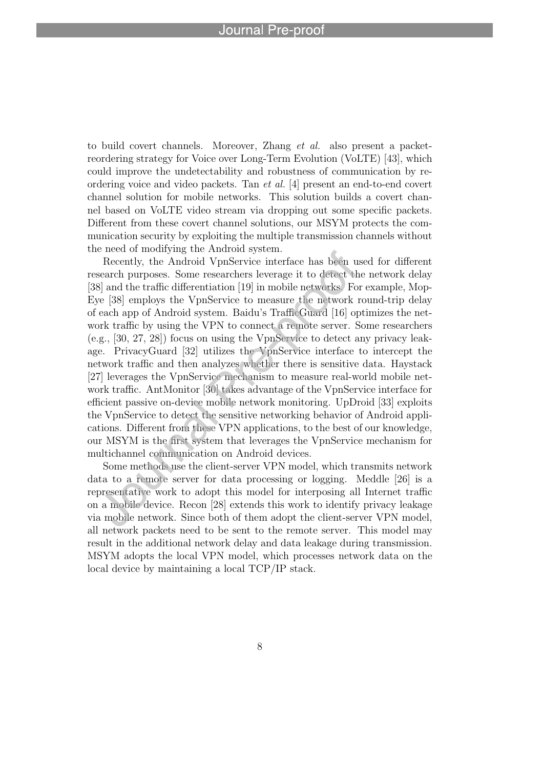to build covert channels. Moreover, Zhang et al. also present a packetreordering strategy for Voice over Long-Term Evolution (VoLTE) [43], which could improve the undetectability and robustness of communication by reordering voice and video packets. Tan et al. [4] present an end-to-end covert channel solution for mobile networks. This solution builds a covert channel based on VoLTE video stream via dropping out some specific packets. Different from these covert channel solutions, our MSYM protects the communication security by exploiting the multiple transmission channels without the need of modifying the Android system.

Recently, the Android VpnService interface has been used for different research purposes. Some researchers leverage it to detect the network delay [38] and the traffic differentiation [19] in mobile networks. For example, Mop-Eye [38] employs the VpnService to measure the network round-trip delay of each app of Android system. Baidu's TrafficGuard [16] optimizes the network traffic by using the VPN to connect a remote server. Some researchers (e.g., [30, 27, 28]) focus on using the VpnService to detect any privacy leakage. PrivacyGuard [32] utilizes the VpnService interface to intercept the network traffic and then analyzes whether there is sensitive data. Haystack [27] leverages the VpnService mechanism to measure real-world mobile network traffic. AntMonitor [30] takes advantage of the VpnService interface for efficient passive on-device mobile network monitoring. UpDroid [33] exploits the VpnService to detect the sensitive networking behavior of Android applications. Different from these VPN applications, to the best of our knowledge, our MSYM is the first system that leverages the VpnService mechanism for multichannel communication on Android devices.

Some methods use the client-server VPN model, which transmits network data to a remote server for data processing or logging. Meddle [26] is a representative work to adopt this model for interposing all Internet traffic on a mobile device. Recon [28] extends this work to identify privacy leakage via mobile network. Since both of them adopt the client-server VPN model, all network packets need to be sent to the remote server. This model may result in the additional network delay and data leakage during transmission. MSYM adopts the local VPN model, which processes network data on the local device by maintaining a local TCP/IP stack.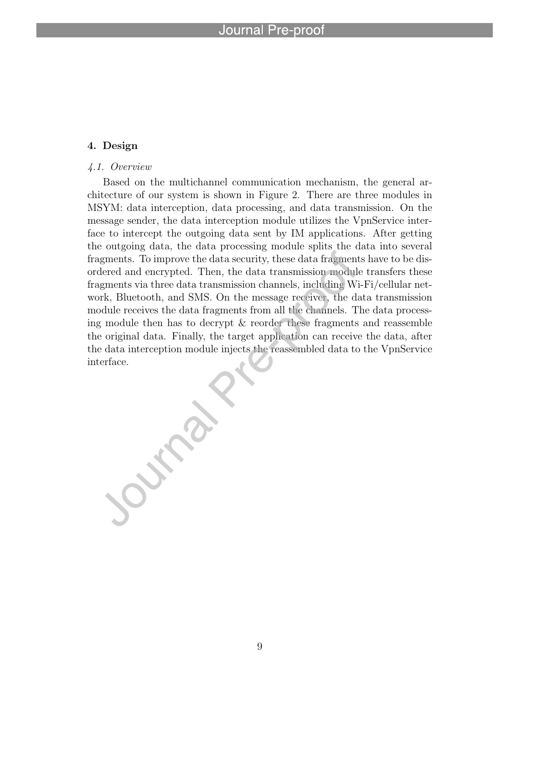# 4. Design

# 4.1. Overview

Based on the multichannel communication mechanism, the general architecture of our system is shown in Figure 2. There are three modules in MSYM: data interception, data processing, and data transmission. On the message sender, the data interception module utilizes the VpnService interface to intercept the outgoing data sent by IM applications. After getting the outgoing data, the data processing module splits the data into several fragments. To improve the data security, these data fragments have to be disordered and encrypted. Then, the data transmission module transfers these fragments via three data transmission channels, including Wi-Fi/cellular network, Bluetooth, and SMS. On the message receiver, the data transmission module receives the data fragments from all the channels. The data processing module then has to decrypt & reorder these fragments and reassemble the original data. Finally, the target application can receive the data, after the data interception module injects the reassembled data to the VpnService interface.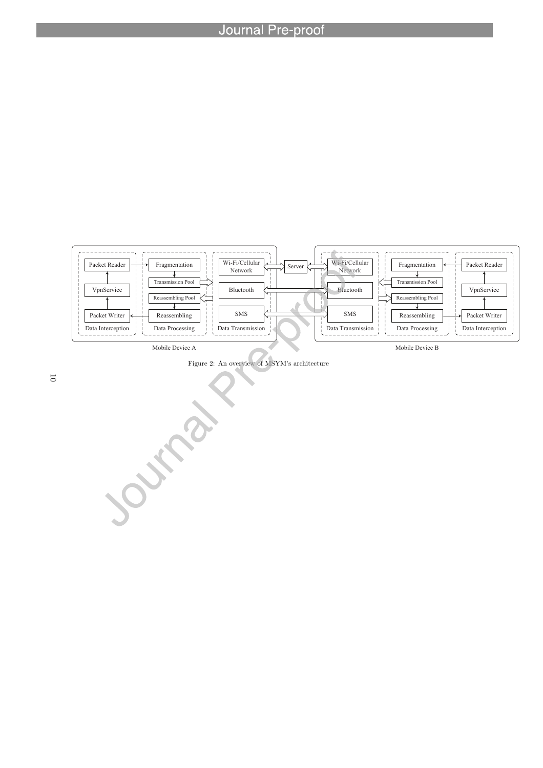# **Journal Pre-proof**

l





**Survey** 

10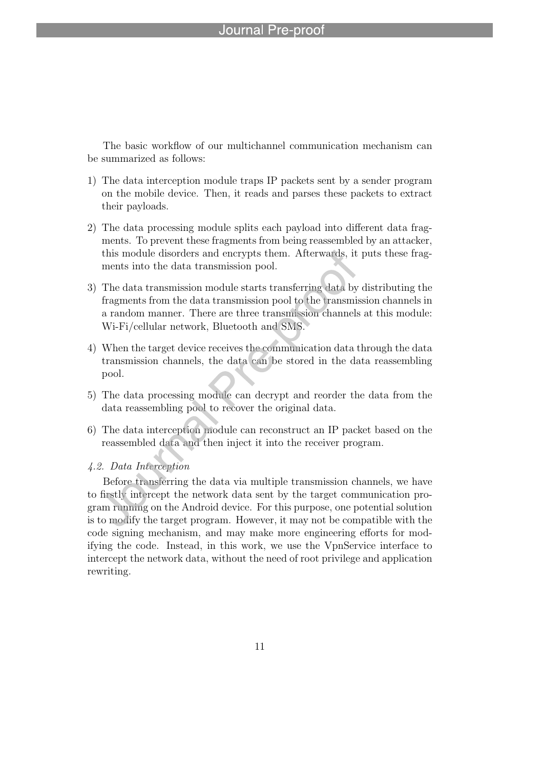The basic workflow of our multichannel communication mechanism can be summarized as follows:

- 1) The data interception module traps IP packets sent by a sender program on the mobile device. Then, it reads and parses these packets to extract their payloads.
- 2) The data processing module splits each payload into different data fragments. To prevent these fragments from being reassembled by an attacker, this module disorders and encrypts them. Afterwards, it puts these fragments into the data transmission pool.
- 3) The data transmission module starts transferring data by distributing the fragments from the data transmission pool to the transmission channels in a random manner. There are three transmission channels at this module: Wi-Fi/cellular network, Bluetooth and SMS.
- 4) When the target device receives the communication data through the data transmission channels, the data can be stored in the data reassembling pool.
- 5) The data processing module can decrypt and reorder the data from the data reassembling pool to recover the original data.
- 6) The data interception module can reconstruct an IP packet based on the reassembled data and then inject it into the receiver program.

# 4.2. Data Interception

Before transferring the data via multiple transmission channels, we have to firstly intercept the network data sent by the target communication program running on the Android device. For this purpose, one potential solution is to modify the target program. However, it may not be compatible with the code signing mechanism, and may make more engineering efforts for modifying the code. Instead, in this work, we use the VpnService interface to intercept the network data, without the need of root privilege and application rewriting.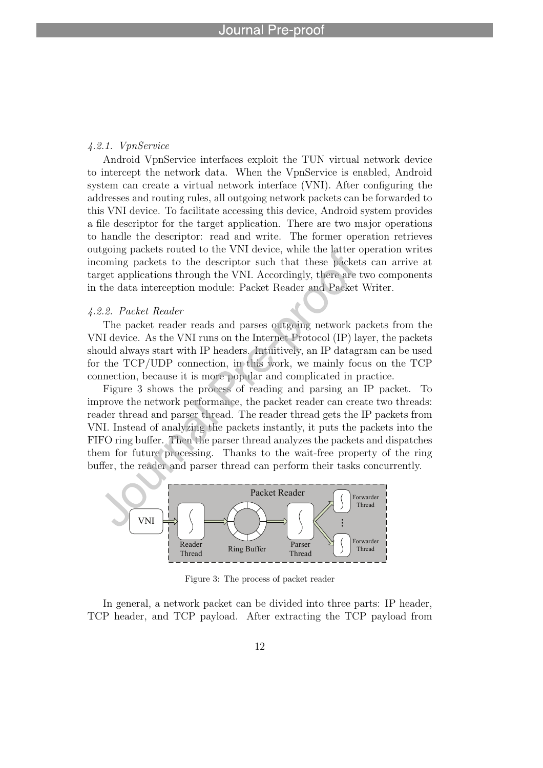# 4.2.1. VpnService

Android VpnService interfaces exploit the TUN virtual network device to intercept the network data. When the VpnService is enabled, Android system can create a virtual network interface (VNI). After configuring the addresses and routing rules, all outgoing network packets can be forwarded to this VNI device. To facilitate accessing this device, Android system provides a file descriptor for the target application. There are two major operations to handle the descriptor: read and write. The former operation retrieves outgoing packets routed to the VNI device, while the latter operation writes incoming packets to the descriptor such that these packets can arrive at target applications through the VNI. Accordingly, there are two components in the data interception module: Packet Reader and Packet Writer.

#### 4.2.2. Packet Reader

The packet reader reads and parses outgoing network packets from the VNI device. As the VNI runs on the Internet Protocol (IP) layer, the packets should always start with IP headers. Intuitively, an IP datagram can be used for the TCP/UDP connection, in this work, we mainly focus on the TCP connection, because it is more popular and complicated in practice.

Figure 3 shows the process of reading and parsing an IP packet. To improve the network performance, the packet reader can create two threads: reader thread and parser thread. The reader thread gets the IP packets from VNI. Instead of analyzing the packets instantly, it puts the packets into the FIFO ring buffer. Then the parser thread analyzes the packets and dispatches them for future processing. Thanks to the wait-free property of the ring buffer, the reader and parser thread can perform their tasks concurrently.



Figure 3: The process of packet reader

In general, a network packet can be divided into three parts: IP header, TCP header, and TCP payload. After extracting the TCP payload from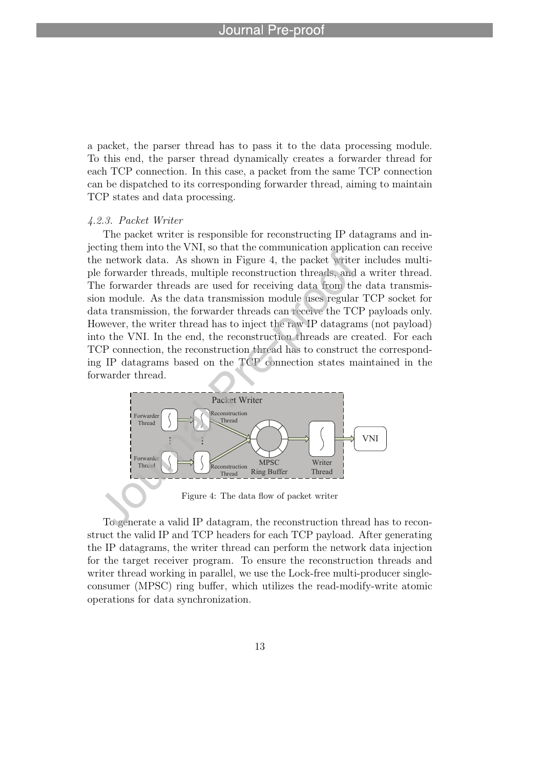a packet, the parser thread has to pass it to the data processing module. To this end, the parser thread dynamically creates a forwarder thread for each TCP connection. In this case, a packet from the same TCP connection can be dispatched to its corresponding forwarder thread, aiming to maintain TCP states and data processing.

# 4.2.3. Packet Writer

The packet writer is responsible for reconstructing IP datagrams and injecting them into the VNI, so that the communication application can receive the network data. As shown in Figure 4, the packet writer includes multiple forwarder threads, multiple reconstruction threads, and a writer thread. The forwarder threads are used for receiving data from the data transmission module. As the data transmission module uses regular TCP socket for data transmission, the forwarder threads can receive the TCP payloads only. However, the writer thread has to inject the raw IP datagrams (not payload) into the VNI. In the end, the reconstruction threads are created. For each TCP connection, the reconstruction thread has to construct the corresponding IP datagrams based on the TCP connection states maintained in the forwarder thread.



To generate a valid IP datagram, the reconstruction thread has to reconstruct the valid IP and TCP headers for each TCP payload. After generating the IP datagrams, the writer thread can perform the network data injection for the target receiver program. To ensure the reconstruction threads and writer thread working in parallel, we use the Lock-free multi-producer singleconsumer (MPSC) ring buffer, which utilizes the read-modify-write atomic operations for data synchronization.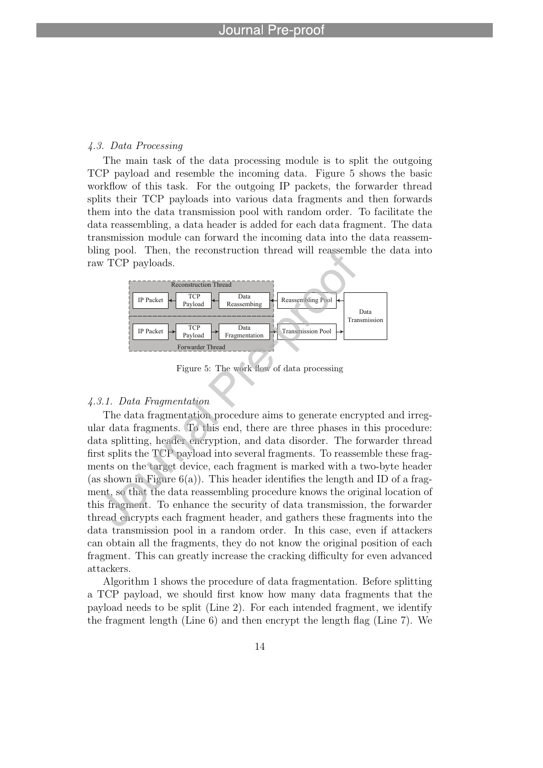# 4.3. Data Processing

l

The main task of the data processing module is to split the outgoing TCP payload and resemble the incoming data. Figure 5 shows the basic workflow of this task. For the outgoing IP packets, the forwarder thread splits their TCP payloads into various data fragments and then forwards them into the data transmission pool with random order. To facilitate the data reassembling, a data header is added for each data fragment. The data transmission module can forward the incoming data into the data reassembling pool. Then, the reconstruction thread will reassemble the data into raw TCP payloads.



Figure 5: The work flow of data processing

#### 4.3.1. Data Fragmentation

The data fragmentation procedure aims to generate encrypted and irregular data fragments. To this end, there are three phases in this procedure: data splitting, header encryption, and data disorder. The forwarder thread first splits the TCP payload into several fragments. To reassemble these fragments on the target device, each fragment is marked with a two-byte header (as shown in Figure  $6(a)$ ). This header identifies the length and ID of a fragment, so that the data reassembling procedure knows the original location of this fragment. To enhance the security of data transmission, the forwarder thread encrypts each fragment header, and gathers these fragments into the data transmission pool in a random order. In this case, even if attackers can obtain all the fragments, they do not know the original position of each fragment. This can greatly increase the cracking difficulty for even advanced attackers.

Algorithm 1 shows the procedure of data fragmentation. Before splitting a TCP payload, we should first know how many data fragments that the payload needs to be split (Line 2). For each intended fragment, we identify the fragment length (Line 6) and then encrypt the length flag (Line 7). We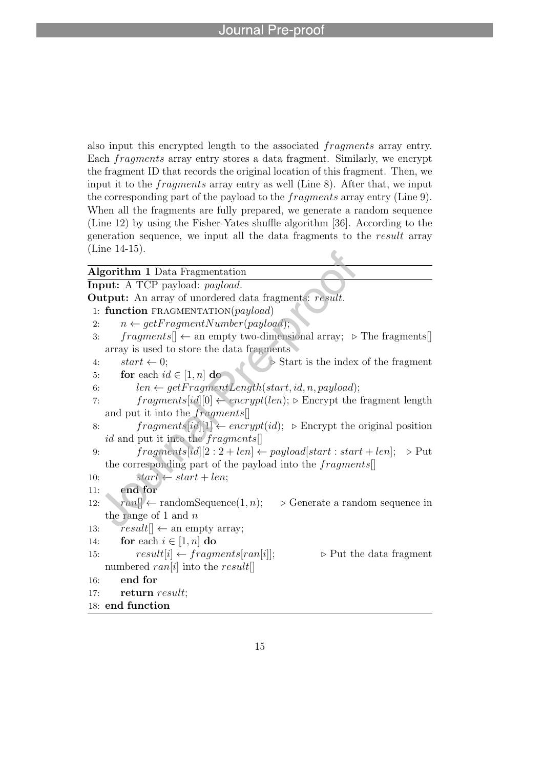also input this encrypted length to the associated fragments array entry. Each fragments array entry stores a data fragment. Similarly, we encrypt the fragment ID that records the original location of this fragment. Then, we input it to the fragments array entry as well (Line 8). After that, we input the corresponding part of the payload to the fragments array entry (Line 9). When all the fragments are fully prepared, we generate a random sequence (Line 12) by using the Fisher-Yates shuffle algorithm [36]. According to the generation sequence, we input all the data fragments to the result array (Line 14-15).

# Algorithm 1 Data Fragmentation

Input: A TCP payload: payload.

**Output:** An array of unordered data fragments: result.

- 1: function FRAGMENTATION( $payload$ )
- 2:  $n \leftarrow getFragmentNumber(payload);$ <br>3:  $fragments \rvert \leftarrow an empty two-dimensional;$

- $fragments$ []  $\leftarrow$  an empty two-dimensional array;  $\triangleright$  The fragments[] array is used to store the data fragments
- 4:  $start \leftarrow 0;$  Start is the index of the fragment 5: for each  $id \in [1, n]$  do
- 
- 6: len ← getFragmentLength(start, id, n, payload);<br>7: fragments[id][0] ← encrupt(len):  $\triangleright$  Encrypt the  $fragments[id][0] \leftarrow encrypt(len); \triangleright \text{Encryption}$  the fragment length

```
and put it into the fragments
```
- 8: fragments[id][1]  $\leftarrow \text{encrypt}(id); \triangleright \text{Encryption}$ id and put it into the *fragments*
- 9: fragments[id][2 : 2 + len]  $\leftarrow$  payload[start : start + len];  $\triangleright$  Put the corresponding part of the payload into the fragments[]
- 10:  $start \leftarrow start + len;$
- 11: end for
- 12:  $ran[\n\leftarrow randomSequence(1, n);\n\quad\n\in General$ the range of 1 and  $n$
- 
- 13:  $result[] \leftarrow \text{an empty array};$ <br>14: **for** each  $i \in [1, n]$  **do**
- 14: **for** each  $i \in [1, n]$  **do**<br>15: **result**[i]  $\leftarrow$  **fraan**  $result[i] \leftarrow fragments[ran[i]]; \qquad \qquad \triangleright$  Put the data fragment numbered  $ran[i]$  into the result

```
16: end for
```
- 17: return result;
- 18: end function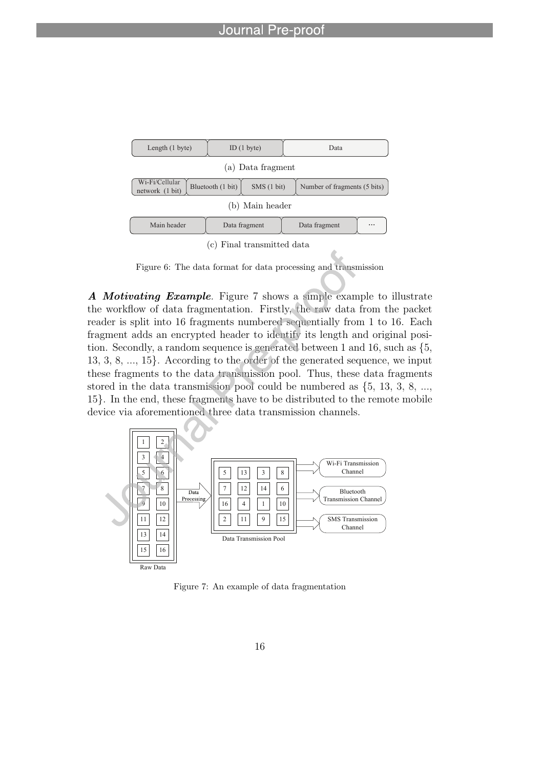

Figure 6: The data format for data processing and transmission

A Motivating Example. Figure 7 shows a simple example to illustrate the workflow of data fragmentation. Firstly, the raw data from the packet reader is split into 16 fragments numbered sequentially from 1 to 16. Each fragment adds an encrypted header to identify its length and original position. Secondly, a random sequence is generated between 1 and 16, such as  $\{5,$ 13, 3, 8, ..., 15}. According to the order of the generated sequence, we input these fragments to the data transmission pool. Thus, these data fragments stored in the data transmission pool could be numbered as {5, 13, 3, 8, ..., 15}. In the end, these fragments have to be distributed to the remote mobile device via aforementioned three data transmission channels.



Figure 7: An example of data fragmentation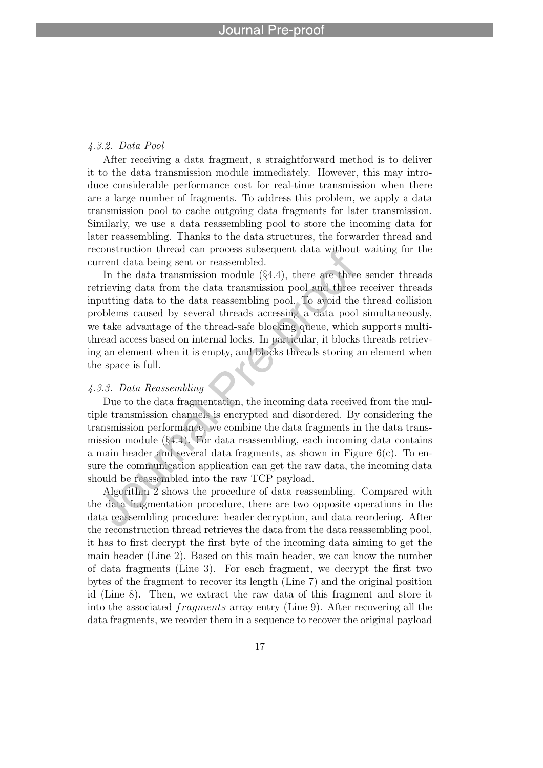# 4.3.2. Data Pool

After receiving a data fragment, a straightforward method is to deliver it to the data transmission module immediately. However, this may introduce considerable performance cost for real-time transmission when there are a large number of fragments. To address this problem, we apply a data transmission pool to cache outgoing data fragments for later transmission. Similarly, we use a data reassembling pool to store the incoming data for later reassembling. Thanks to the data structures, the forwarder thread and reconstruction thread can process subsequent data without waiting for the current data being sent or reassembled.

In the data transmission module  $(\S4.4)$ , there are three sender threads retrieving data from the data transmission pool and three receiver threads inputting data to the data reassembling pool. To avoid the thread collision problems caused by several threads accessing a data pool simultaneously, we take advantage of the thread-safe blocking queue, which supports multithread access based on internal locks. In particular, it blocks threads retrieving an element when it is empty, and blocks threads storing an element when the space is full.

# 4.3.3. Data Reassembling

Due to the data fragmentation, the incoming data received from the multiple transmission channels is encrypted and disordered. By considering the transmission performance, we combine the data fragments in the data transmission module (§4.4). For data reassembling, each incoming data contains a main header and several data fragments, as shown in Figure 6(c). To ensure the communication application can get the raw data, the incoming data should be reassembled into the raw TCP payload.

Algorithm 2 shows the procedure of data reassembling. Compared with the data fragmentation procedure, there are two opposite operations in the data reassembling procedure: header decryption, and data reordering. After the reconstruction thread retrieves the data from the data reassembling pool, it has to first decrypt the first byte of the incoming data aiming to get the main header (Line 2). Based on this main header, we can know the number of data fragments (Line 3). For each fragment, we decrypt the first two bytes of the fragment to recover its length (Line 7) and the original position id (Line 8). Then, we extract the raw data of this fragment and store it into the associated fragments array entry (Line 9). After recovering all the data fragments, we reorder them in a sequence to recover the original payload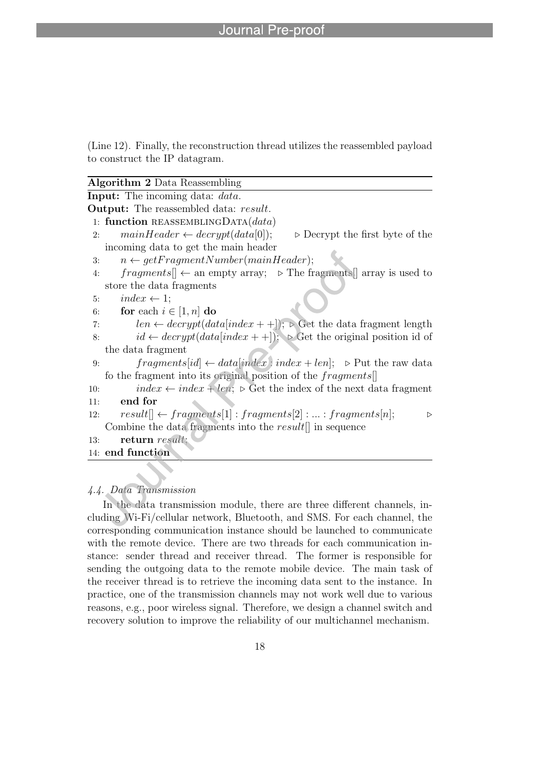(Line 12). Finally, the reconstruction thread utilizes the reassembled payload to construct the IP datagram.

| <b>Algorithm 2</b> Data Reassembling                                                              |
|---------------------------------------------------------------------------------------------------|
| <b>Input:</b> The incoming data: <i>data</i> .                                                    |
| <b>Output:</b> The reassembled data: result.                                                      |
| 1: function REASSEMBLINGDATA $(data)$                                                             |
| $mainHeader \leftarrow decrypt(data[0]);$<br>$\triangleright$ Decrypt the first byte of the<br>2: |
| incoming data to get the main header                                                              |
| $n \leftarrow getFragmentNumber(mainHeader);$<br>3:                                               |
| $fragments$ $\rightarrow$ an empty array; $\rightarrow$ The fragments array is used to<br>4:      |
| store the data fragments                                                                          |
| $index \leftarrow 1;$<br>5:                                                                       |
| for each $i \in [1, n]$ do<br>6:                                                                  |
| $len \leftarrow decrypt(data[index + +))$ ; $\triangleright$ Get the data fragment length<br>7:   |
| $id \leftarrow decrypt(data[index + +))$ ; $\triangleright$ Get the original position id of<br>8: |
| the data fragment                                                                                 |
| $fragments [id] \leftarrow data [index : index + len]; \geq$ Put the raw data<br>9:               |
| fo the fragment into its original position of the <i>fragments</i>                                |
| $index \leftarrow index + len; \geq \text{Get}$ the index of the next data fragment<br>10:        |
| end for<br>11:                                                                                    |
| $result[] \leftarrow fragments[1]: fragments[2]::fragments[n];$<br>12:                            |
| Combine the data fragments into the result $\parallel$ in sequence                                |
| return result;<br>13:                                                                             |
| 14: end function                                                                                  |
|                                                                                                   |

# 4.4. Data Transmission

In the data transmission module, there are three different channels, including Wi-Fi/cellular network, Bluetooth, and SMS. For each channel, the corresponding communication instance should be launched to communicate with the remote device. There are two threads for each communication instance: sender thread and receiver thread. The former is responsible for sending the outgoing data to the remote mobile device. The main task of the receiver thread is to retrieve the incoming data sent to the instance. In practice, one of the transmission channels may not work well due to various reasons, e.g., poor wireless signal. Therefore, we design a channel switch and recovery solution to improve the reliability of our multichannel mechanism.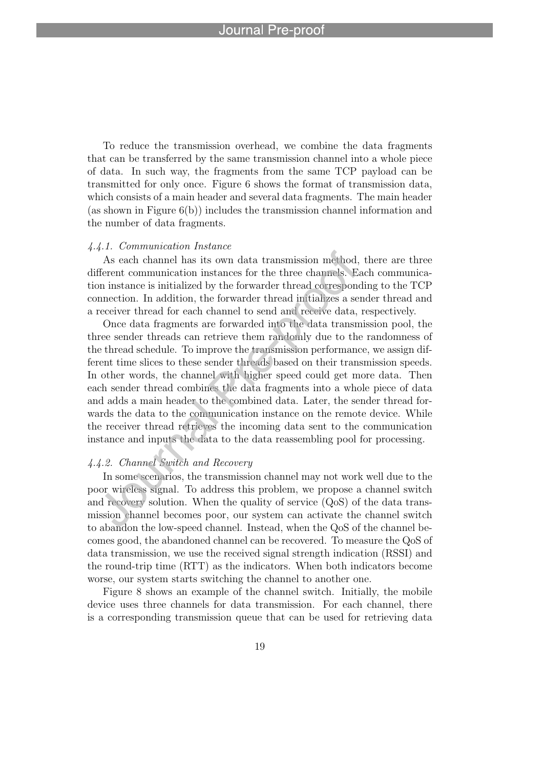To reduce the transmission overhead, we combine the data fragments that can be transferred by the same transmission channel into a whole piece of data. In such way, the fragments from the same TCP payload can be transmitted for only once. Figure 6 shows the format of transmission data, which consists of a main header and several data fragments. The main header (as shown in Figure 6(b)) includes the transmission channel information and the number of data fragments.

# 4.4.1. Communication Instance

l

As each channel has its own data transmission method, there are three different communication instances for the three channels. Each communication instance is initialized by the forwarder thread corresponding to the TCP connection. In addition, the forwarder thread initializes a sender thread and a receiver thread for each channel to send and receive data, respectively.

Once data fragments are forwarded into the data transmission pool, the three sender threads can retrieve them randomly due to the randomness of the thread schedule. To improve the transmission performance, we assign different time slices to these sender threads based on their transmission speeds. In other words, the channel with higher speed could get more data. Then each sender thread combines the data fragments into a whole piece of data and adds a main header to the combined data. Later, the sender thread forwards the data to the communication instance on the remote device. While the receiver thread retrieves the incoming data sent to the communication instance and inputs the data to the data reassembling pool for processing.

# 4.4.2. Channel Switch and Recovery

In some scenarios, the transmission channel may not work well due to the poor wireless signal. To address this problem, we propose a channel switch and recovery solution. When the quality of service (QoS) of the data transmission channel becomes poor, our system can activate the channel switch to abandon the low-speed channel. Instead, when the QoS of the channel becomes good, the abandoned channel can be recovered. To measure the QoS of data transmission, we use the received signal strength indication (RSSI) and the round-trip time (RTT) as the indicators. When both indicators become worse, our system starts switching the channel to another one.

Figure 8 shows an example of the channel switch. Initially, the mobile device uses three channels for data transmission. For each channel, there is a corresponding transmission queue that can be used for retrieving data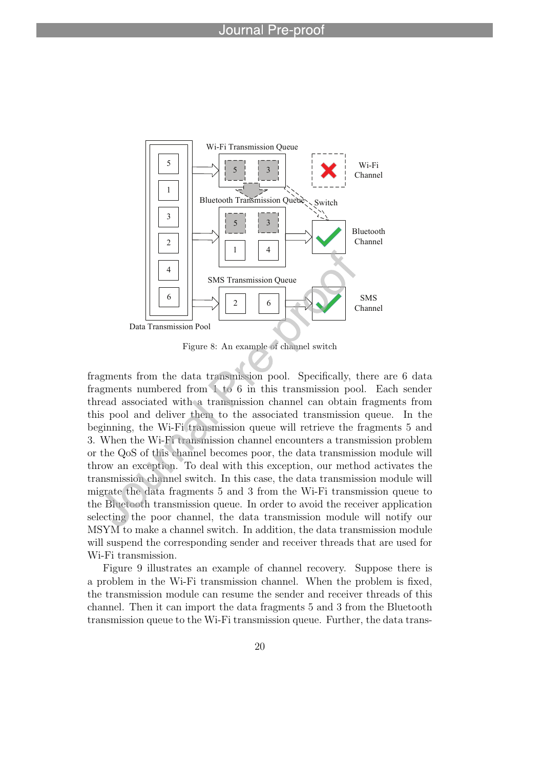

Figure 8: An example of channel switch

fragments from the data transmission pool. Specifically, there are 6 data fragments numbered from 1 to 6 in this transmission pool. Each sender thread associated with a transmission channel can obtain fragments from this pool and deliver them to the associated transmission queue. In the beginning, the Wi-Fi transmission queue will retrieve the fragments 5 and 3. When the Wi-Fi transmission channel encounters a transmission problem or the QoS of this channel becomes poor, the data transmission module will throw an exception. To deal with this exception, our method activates the transmission channel switch. In this case, the data transmission module will migrate the data fragments 5 and 3 from the Wi-Fi transmission queue to the Bluetooth transmission queue. In order to avoid the receiver application selecting the poor channel, the data transmission module will notify our MSYM to make a channel switch. In addition, the data transmission module will suspend the corresponding sender and receiver threads that are used for Wi-Fi transmission.

Figure 9 illustrates an example of channel recovery. Suppose there is a problem in the Wi-Fi transmission channel. When the problem is fixed, the transmission module can resume the sender and receiver threads of this channel. Then it can import the data fragments 5 and 3 from the Bluetooth transmission queue to the Wi-Fi transmission queue. Further, the data trans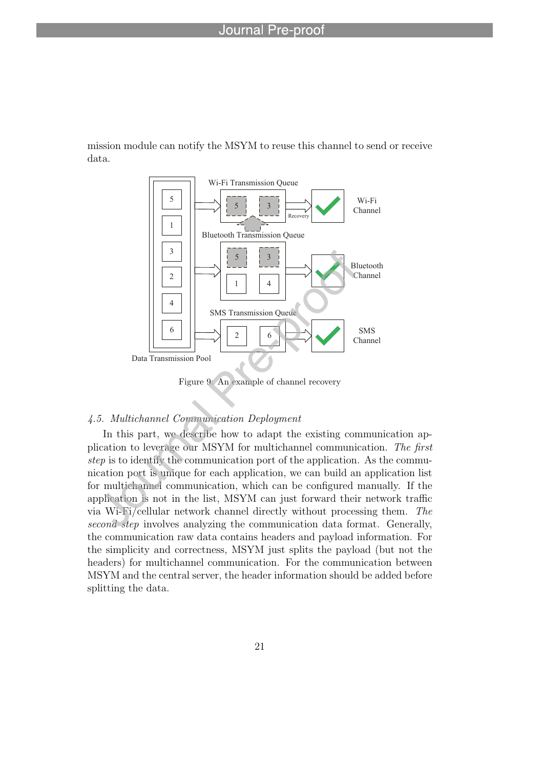mission module can notify the MSYM to reuse this channel to send or receive data.



Figure 9: An example of channel recovery

# 4.5. Multichannel Communication Deployment

l

In this part, we describe how to adapt the existing communication application to leverage our MSYM for multichannel communication. The first step is to identify the communication port of the application. As the communication port is unique for each application, we can build an application list for multichannel communication, which can be configured manually. If the application is not in the list, MSYM can just forward their network traffic via Wi-Fi/cellular network channel directly without processing them. The second step involves analyzing the communication data format. Generally, the communication raw data contains headers and payload information. For the simplicity and correctness, MSYM just splits the payload (but not the headers) for multichannel communication. For the communication between MSYM and the central server, the header information should be added before splitting the data.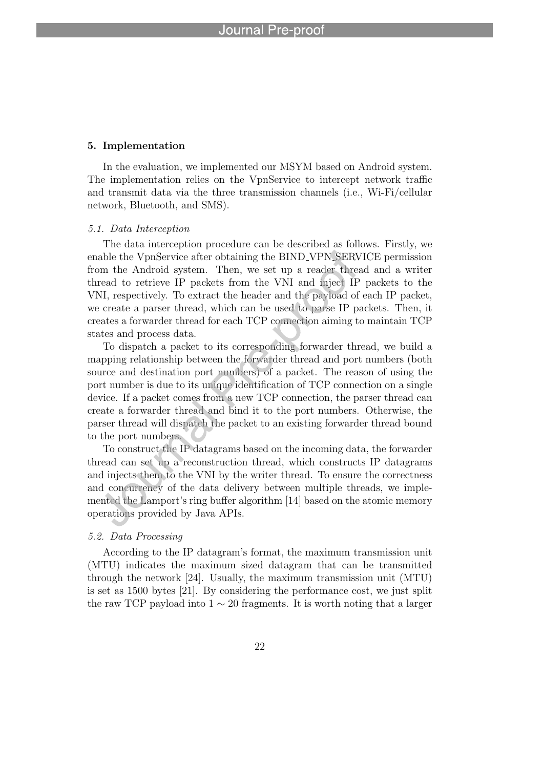# 5. Implementation

l

In the evaluation, we implemented our MSYM based on Android system. The implementation relies on the VpnService to intercept network traffic and transmit data via the three transmission channels (i.e., Wi-Fi/cellular network, Bluetooth, and SMS).

## 5.1. Data Interception

The data interception procedure can be described as follows. Firstly, we enable the VpnService after obtaining the BIND VPN SERVICE permission from the Android system. Then, we set up a reader thread and a writer thread to retrieve IP packets from the VNI and inject IP packets to the VNI, respectively. To extract the header and the payload of each IP packet, we create a parser thread, which can be used to parse IP packets. Then, it creates a forwarder thread for each TCP connection aiming to maintain TCP states and process data.

To dispatch a packet to its corresponding forwarder thread, we build a mapping relationship between the forwarder thread and port numbers (both source and destination port numbers) of a packet. The reason of using the port number is due to its unique identification of TCP connection on a single device. If a packet comes from a new TCP connection, the parser thread can create a forwarder thread and bind it to the port numbers. Otherwise, the parser thread will dispatch the packet to an existing forwarder thread bound to the port numbers.

To construct the IP datagrams based on the incoming data, the forwarder thread can set up a reconstruction thread, which constructs IP datagrams and injects them to the VNI by the writer thread. To ensure the correctness and concurrency of the data delivery between multiple threads, we implemented the Lamport's ring buffer algorithm [14] based on the atomic memory operations provided by Java APIs.

# 5.2. Data Processing

According to the IP datagram's format, the maximum transmission unit (MTU) indicates the maximum sized datagram that can be transmitted through the network [24]. Usually, the maximum transmission unit (MTU) is set as 1500 bytes [21]. By considering the performance cost, we just split the raw TCP payload into  $1 \sim 20$  fragments. It is worth noting that a larger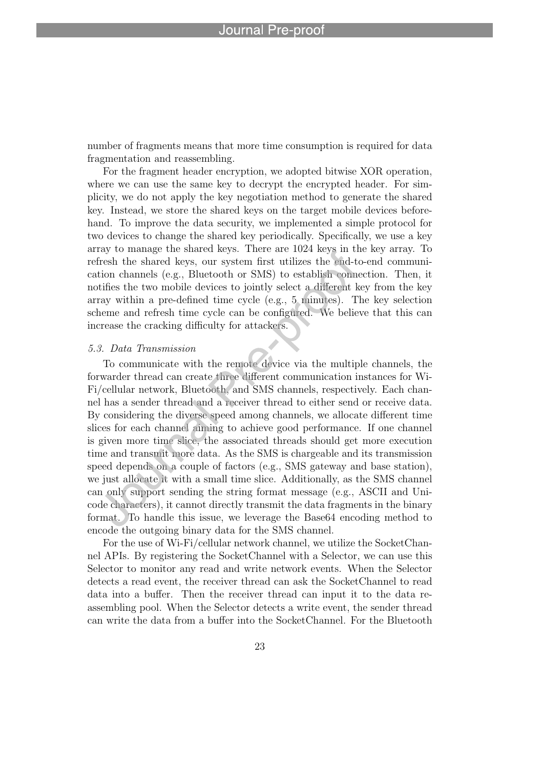number of fragments means that more time consumption is required for data fragmentation and reassembling.

For the fragment header encryption, we adopted bitwise XOR operation, where we can use the same key to decrypt the encrypted header. For simplicity, we do not apply the key negotiation method to generate the shared key. Instead, we store the shared keys on the target mobile devices beforehand. To improve the data security, we implemented a simple protocol for two devices to change the shared key periodically. Specifically, we use a key array to manage the shared keys. There are 1024 keys in the key array. To refresh the shared keys, our system first utilizes the end-to-end communication channels (e.g., Bluetooth or SMS) to establish connection. Then, it notifies the two mobile devices to jointly select a different key from the key array within a pre-defined time cycle (e.g., 5 minutes). The key selection scheme and refresh time cycle can be configured. We believe that this can increase the cracking difficulty for attackers.

# 5.3. Data Transmission

To communicate with the remote device via the multiple channels, the forwarder thread can create three different communication instances for Wi-Fi/cellular network, Bluetooth, and SMS channels, respectively. Each channel has a sender thread and a receiver thread to either send or receive data. By considering the diverse speed among channels, we allocate different time slices for each channel aiming to achieve good performance. If one channel is given more time slice, the associated threads should get more execution time and transmit more data. As the SMS is chargeable and its transmission speed depends on a couple of factors (e.g., SMS gateway and base station), we just allocate it with a small time slice. Additionally, as the SMS channel can only support sending the string format message (e.g., ASCII and Unicode characters), it cannot directly transmit the data fragments in the binary format. To handle this issue, we leverage the Base64 encoding method to encode the outgoing binary data for the SMS channel.

For the use of Wi-Fi/cellular network channel, we utilize the SocketChannel APIs. By registering the SocketChannel with a Selector, we can use this Selector to monitor any read and write network events. When the Selector detects a read event, the receiver thread can ask the SocketChannel to read data into a buffer. Then the receiver thread can input it to the data reassembling pool. When the Selector detects a write event, the sender thread can write the data from a buffer into the SocketChannel. For the Bluetooth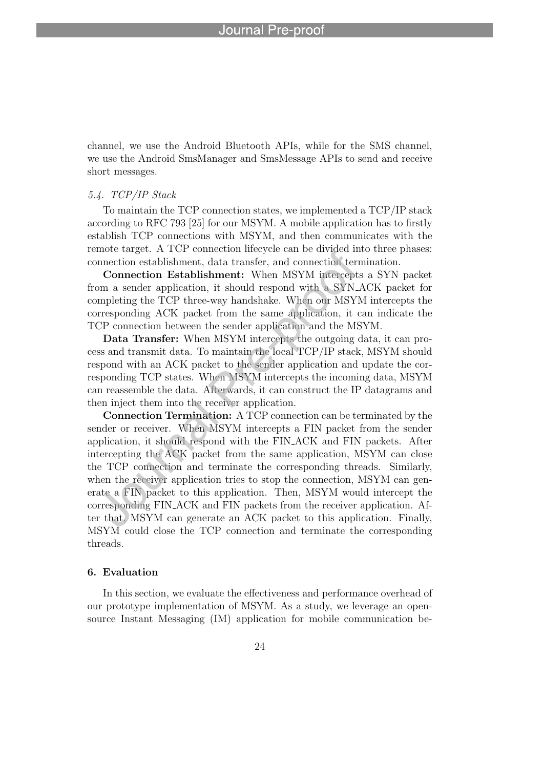channel, we use the Android Bluetooth APIs, while for the SMS channel, we use the Android SmsManager and SmsMessage APIs to send and receive short messages.

# 5.4. TCP/IP Stack

To maintain the TCP connection states, we implemented a TCP/IP stack according to RFC 793 [25] for our MSYM. A mobile application has to firstly establish TCP connections with MSYM, and then communicates with the remote target. A TCP connection lifecycle can be divided into three phases: connection establishment, data transfer, and connection termination.

Connection Establishment: When MSYM intercepts a SYN packet from a sender application, it should respond with a SYN ACK packet for completing the TCP three-way handshake. When our MSYM intercepts the corresponding ACK packet from the same application, it can indicate the TCP connection between the sender application and the MSYM.

Data Transfer: When MSYM intercepts the outgoing data, it can process and transmit data. To maintain the local TCP/IP stack, MSYM should respond with an ACK packet to the sender application and update the corresponding TCP states. When MSYM intercepts the incoming data, MSYM can reassemble the data. Afterwards, it can construct the IP datagrams and then inject them into the receiver application.

Connection Termination: A TCP connection can be terminated by the sender or receiver. When MSYM intercepts a FIN packet from the sender application, it should respond with the FIN ACK and FIN packets. After intercepting the ACK packet from the same application, MSYM can close the TCP connection and terminate the corresponding threads. Similarly, when the receiver application tries to stop the connection, MSYM can generate a FIN packet to this application. Then, MSYM would intercept the corresponding FIN ACK and FIN packets from the receiver application. After that, MSYM can generate an ACK packet to this application. Finally, MSYM could close the TCP connection and terminate the corresponding threads.

# 6. Evaluation

In this section, we evaluate the effectiveness and performance overhead of our prototype implementation of MSYM. As a study, we leverage an opensource Instant Messaging (IM) application for mobile communication be-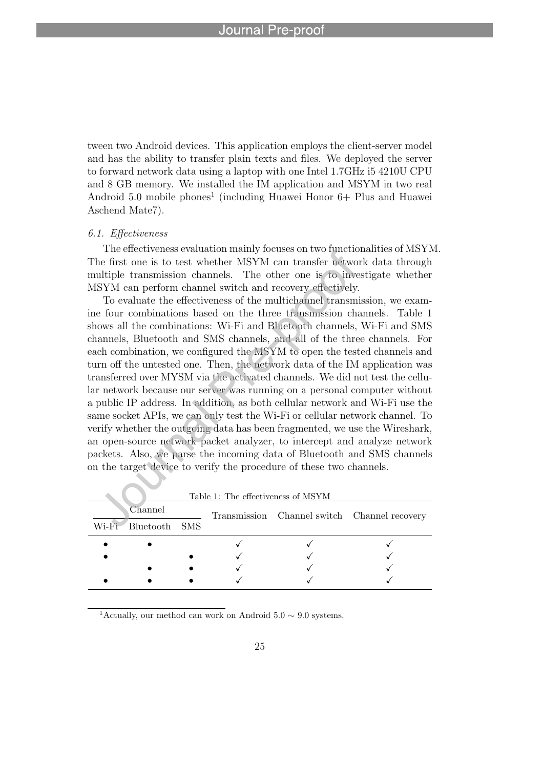tween two Android devices. This application employs the client-server model and has the ability to transfer plain texts and files. We deployed the server to forward network data using a laptop with one Intel 1.7GHz i5 4210U CPU and 8 GB memory. We installed the IM application and MSYM in two real Android 5.0 mobile phones<sup>1</sup> (including Huawei Honor 6+ Plus and Huawei Aschend Mate7).

# 6.1. Effectiveness

The effectiveness evaluation mainly focuses on two functionalities of MSYM. The first one is to test whether MSYM can transfer network data through multiple transmission channels. The other one is to investigate whether MSYM can perform channel switch and recovery effectively.

To evaluate the effectiveness of the multichannel transmission, we examine four combinations based on the three transmission channels. Table 1 shows all the combinations: Wi-Fi and Bluetooth channels, Wi-Fi and SMS channels, Bluetooth and SMS channels, and all of the three channels. For each combination, we configured the MSYM to open the tested channels and turn off the untested one. Then, the network data of the IM application was transferred over MYSM via the activated channels. We did not test the cellular network because our server was running on a personal computer without a public IP address. In addition, as both cellular network and Wi-Fi use the same socket APIs, we can only test the Wi-Fi or cellular network channel. To verify whether the outgoing data has been fragmented, we use the Wireshark, an open-source network packet analyzer, to intercept and analyze network packets. Also, we parse the incoming data of Bluetooth and SMS channels on the target device to verify the procedure of these two channels.

| Table 1: The effectiveness of MSYM |                     |  |  |                                              |  |  |  |  |
|------------------------------------|---------------------|--|--|----------------------------------------------|--|--|--|--|
| Channel                            |                     |  |  | Transmission Channel switch Channel recovery |  |  |  |  |
|                                    | Wi-Fi Bluetooth SMS |  |  |                                              |  |  |  |  |
|                                    |                     |  |  |                                              |  |  |  |  |
|                                    |                     |  |  |                                              |  |  |  |  |
|                                    |                     |  |  |                                              |  |  |  |  |
|                                    |                     |  |  |                                              |  |  |  |  |

<sup>1</sup>Actually, our method can work on Android 5.0  $\sim$  9.0 systems.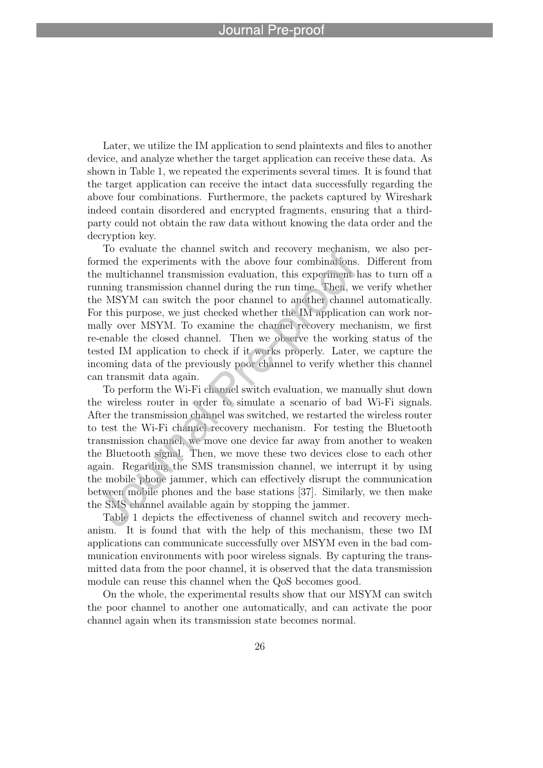Later, we utilize the IM application to send plaintexts and files to another device, and analyze whether the target application can receive these data. As shown in Table 1, we repeated the experiments several times. It is found that the target application can receive the intact data successfully regarding the above four combinations. Furthermore, the packets captured by Wireshark indeed contain disordered and encrypted fragments, ensuring that a thirdparty could not obtain the raw data without knowing the data order and the decryption key.

To evaluate the channel switch and recovery mechanism, we also performed the experiments with the above four combinations. Different from the multichannel transmission evaluation, this experiment has to turn off a running transmission channel during the run time. Then, we verify whether the MSYM can switch the poor channel to another channel automatically. For this purpose, we just checked whether the IM application can work normally over MSYM. To examine the channel recovery mechanism, we first re-enable the closed channel. Then we observe the working status of the tested IM application to check if it works properly. Later, we capture the incoming data of the previously poor channel to verify whether this channel can transmit data again.

To perform the Wi-Fi channel switch evaluation, we manually shut down the wireless router in order to simulate a scenario of bad Wi-Fi signals. After the transmission channel was switched, we restarted the wireless router to test the Wi-Fi channel recovery mechanism. For testing the Bluetooth transmission channel, we move one device far away from another to weaken the Bluetooth signal. Then, we move these two devices close to each other again. Regarding the SMS transmission channel, we interrupt it by using the mobile phone jammer, which can effectively disrupt the communication between mobile phones and the base stations [37]. Similarly, we then make the SMS channel available again by stopping the jammer.

Table 1 depicts the effectiveness of channel switch and recovery mechanism. It is found that with the help of this mechanism, these two IM applications can communicate successfully over MSYM even in the bad communication environments with poor wireless signals. By capturing the transmitted data from the poor channel, it is observed that the data transmission module can reuse this channel when the QoS becomes good.

On the whole, the experimental results show that our MSYM can switch the poor channel to another one automatically, and can activate the poor channel again when its transmission state becomes normal.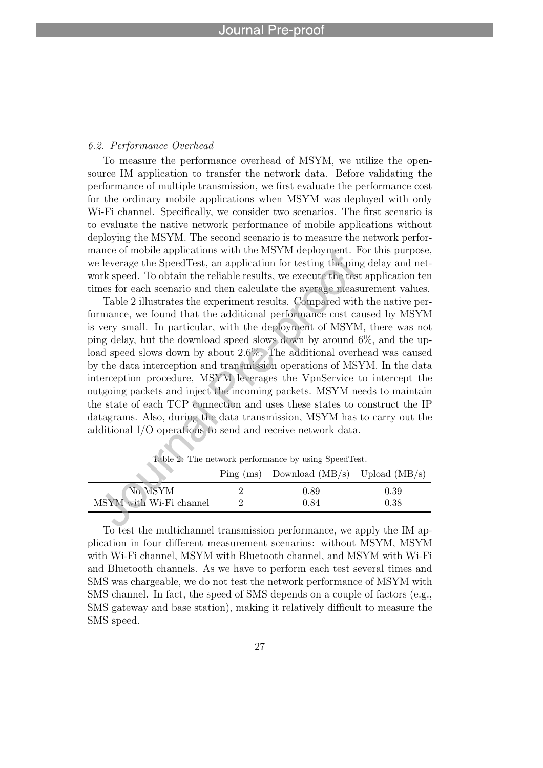# 6.2. Performance Overhead

l

To measure the performance overhead of MSYM, we utilize the opensource IM application to transfer the network data. Before validating the performance of multiple transmission, we first evaluate the performance cost for the ordinary mobile applications when MSYM was deployed with only Wi-Fi channel. Specifically, we consider two scenarios. The first scenario is to evaluate the native network performance of mobile applications without deploying the MSYM. The second scenario is to measure the network performance of mobile applications with the MSYM deployment. For this purpose, we leverage the SpeedTest, an application for testing the ping delay and network speed. To obtain the reliable results, we execute the test application ten times for each scenario and then calculate the average measurement values.

Table 2 illustrates the experiment results. Compared with the native performance, we found that the additional performance cost caused by MSYM is very small. In particular, with the deployment of MSYM, there was not ping delay, but the download speed slows down by around 6%, and the upload speed slows down by about 2.6%. The additional overhead was caused by the data interception and transmission operations of MSYM. In the data interception procedure, MSYM leverages the VpnService to intercept the outgoing packets and inject the incoming packets. MSYM needs to maintain the state of each TCP connection and uses these states to construct the IP datagrams. Also, during the data transmission, MSYM has to carry out the additional I/O operations to send and receive network data.

|                         | $\pm$ wole $\pm$ . $\pm$ He Hermoth performance by ability operation.<br>Ping (ms) Download (MB/s) Upload (MB/s) |      |
|-------------------------|------------------------------------------------------------------------------------------------------------------|------|
| No MSYM                 | 0.89                                                                                                             | 0.39 |
| MSYM with Wi-Fi channel | 0.84                                                                                                             | 0.38 |

2: The network performance by using SpeedTest.

To test the multichannel transmission performance, we apply the IM application in four different measurement scenarios: without MSYM, MSYM with Wi-Fi channel, MSYM with Bluetooth channel, and MSYM with Wi-Fi and Bluetooth channels. As we have to perform each test several times and SMS was chargeable, we do not test the network performance of MSYM with SMS channel. In fact, the speed of SMS depends on a couple of factors (e.g., SMS gateway and base station), making it relatively difficult to measure the SMS speed.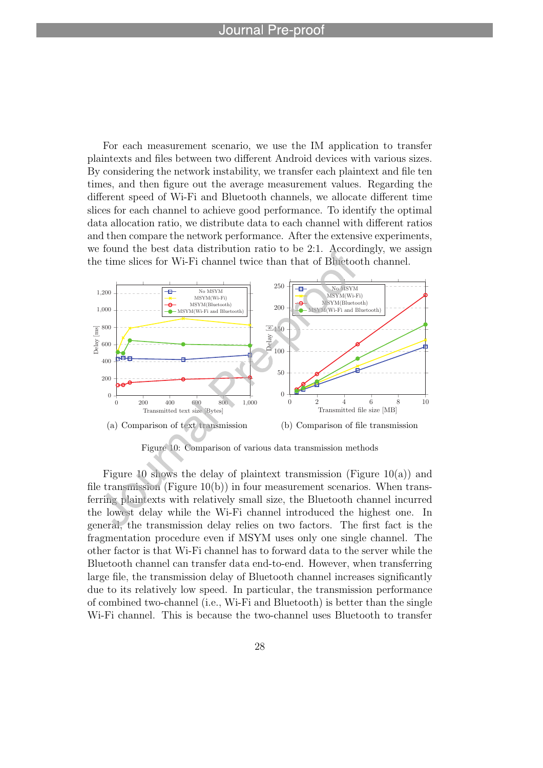For each measurement scenario, we use the IM application to transfer plaintexts and files between two different Android devices with various sizes. By considering the network instability, we transfer each plaintext and file ten times, and then figure out the average measurement values. Regarding the different speed of Wi-Fi and Bluetooth channels, we allocate different time slices for each channel to achieve good performance. To identify the optimal data allocation ratio, we distribute data to each channel with different ratios and then compare the network performance. After the extensive experiments, we found the best data distribution ratio to be 2:1. Accordingly, we assign the time slices for Wi-Fi channel twice than that of Bluetooth channel.



Figure 10: Comparison of various data transmission methods

Figure 10 shows the delay of plaintext transmission (Figure  $10(a)$ ) and file transmission (Figure  $10(b)$ ) in four measurement scenarios. When transferring plaintexts with relatively small size, the Bluetooth channel incurred the lowest delay while the Wi-Fi channel introduced the highest one. In general, the transmission delay relies on two factors. The first fact is the fragmentation procedure even if MSYM uses only one single channel. The other factor is that Wi-Fi channel has to forward data to the server while the Bluetooth channel can transfer data end-to-end. However, when transferring large file, the transmission delay of Bluetooth channel increases significantly due to its relatively low speed. In particular, the transmission performance of combined two-channel (i.e., Wi-Fi and Bluetooth) is better than the single Wi-Fi channel. This is because the two-channel uses Bluetooth to transfer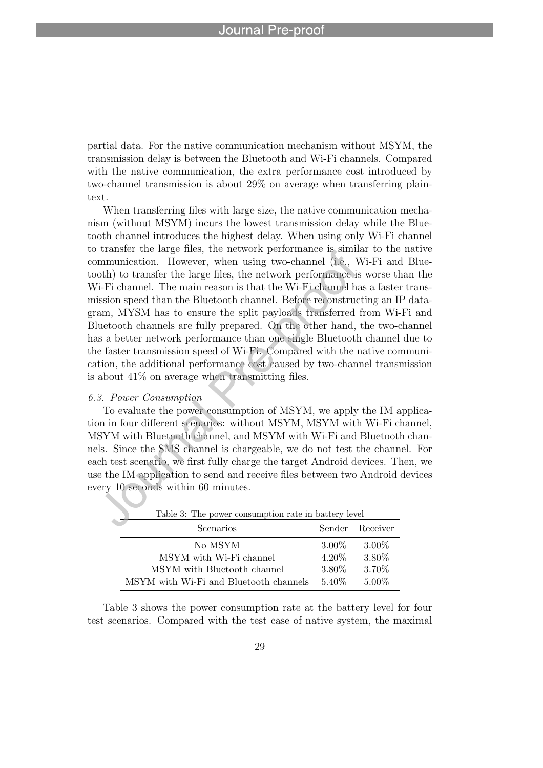partial data. For the native communication mechanism without MSYM, the transmission delay is between the Bluetooth and Wi-Fi channels. Compared with the native communication, the extra performance cost introduced by two-channel transmission is about 29% on average when transferring plaintext.

When transferring files with large size, the native communication mechanism (without MSYM) incurs the lowest transmission delay while the Bluetooth channel introduces the highest delay. When using only Wi-Fi channel to transfer the large files, the network performance is similar to the native communication. However, when using two-channel (i.e., Wi-Fi and Bluetooth) to transfer the large files, the network performance is worse than the Wi-Fi channel. The main reason is that the Wi-Fi channel has a faster transmission speed than the Bluetooth channel. Before reconstructing an IP datagram, MYSM has to ensure the split payloads transferred from Wi-Fi and Bluetooth channels are fully prepared. On the other hand, the two-channel has a better network performance than one single Bluetooth channel due to the faster transmission speed of Wi-Fi. Compared with the native communication, the additional performance cost caused by two-channel transmission is about 41% on average when transmitting files.

# 6.3. Power Consumption

To evaluate the power consumption of MSYM, we apply the IM application in four different scenarios: without MSYM, MSYM with Wi-Fi channel, MSYM with Bluetooth channel, and MSYM with Wi-Fi and Bluetooth channels. Since the SMS channel is chargeable, we do not test the channel. For each test scenario, we first fully charge the target Android devices. Then, we use the IM application to send and receive files between two Android devices every 10 seconds within 60 minutes.

| Table 3: The power consumption rate in battery level |          |                 |  |  |  |  |
|------------------------------------------------------|----------|-----------------|--|--|--|--|
| Scenarios                                            |          | Sender Receiver |  |  |  |  |
| No MSYM                                              | $3.00\%$ | $3.00\%$        |  |  |  |  |
| MSYM with Wi-Fi channel                              | $4.20\%$ | 3.80%           |  |  |  |  |
| MSYM with Bluetooth channel                          | $3.80\%$ | 3.70%           |  |  |  |  |
| MSYM with Wi-Fi and Bluetooth channels               | 5.40\%   | $5.00\%$        |  |  |  |  |

Table 3 shows the power consumption rate at the battery level for four test scenarios. Compared with the test case of native system, the maximal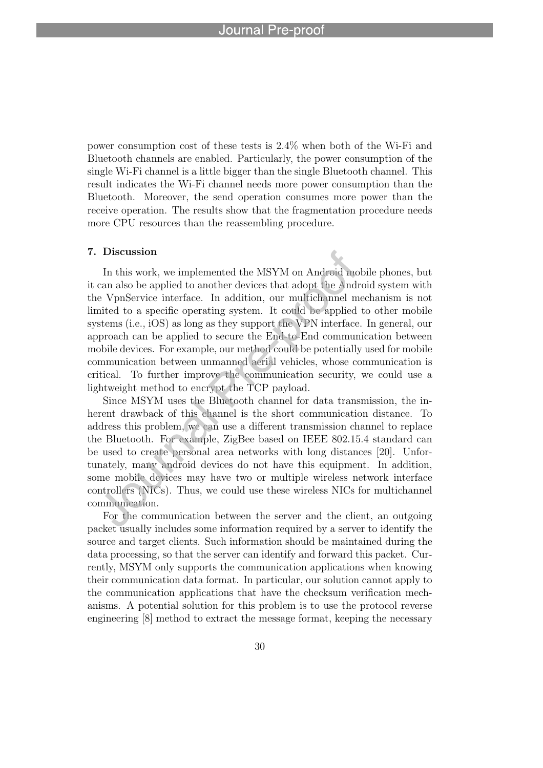power consumption cost of these tests is 2.4% when both of the Wi-Fi and Bluetooth channels are enabled. Particularly, the power consumption of the single Wi-Fi channel is a little bigger than the single Bluetooth channel. This result indicates the Wi-Fi channel needs more power consumption than the Bluetooth. Moreover, the send operation consumes more power than the receive operation. The results show that the fragmentation procedure needs more CPU resources than the reassembling procedure.

## 7. Discussion

In this work, we implemented the MSYM on Android mobile phones, but it can also be applied to another devices that adopt the Android system with the VpnService interface. In addition, our multichannel mechanism is not limited to a specific operating system. It could be applied to other mobile systems (i.e., iOS) as long as they support the VPN interface. In general, our approach can be applied to secure the End-to-End communication between mobile devices. For example, our method could be potentially used for mobile communication between unmanned aerial vehicles, whose communication is critical. To further improve the communication security, we could use a lightweight method to encrypt the TCP payload.

Since MSYM uses the Bluetooth channel for data transmission, the inherent drawback of this channel is the short communication distance. To address this problem, we can use a different transmission channel to replace the Bluetooth. For example, ZigBee based on IEEE 802.15.4 standard can be used to create personal area networks with long distances [20]. Unfortunately, many android devices do not have this equipment. In addition, some mobile devices may have two or multiple wireless network interface controllers (NICs). Thus, we could use these wireless NICs for multichannel communication.

For the communication between the server and the client, an outgoing packet usually includes some information required by a server to identify the source and target clients. Such information should be maintained during the data processing, so that the server can identify and forward this packet. Currently, MSYM only supports the communication applications when knowing their communication data format. In particular, our solution cannot apply to the communication applications that have the checksum verification mechanisms. A potential solution for this problem is to use the protocol reverse engineering [8] method to extract the message format, keeping the necessary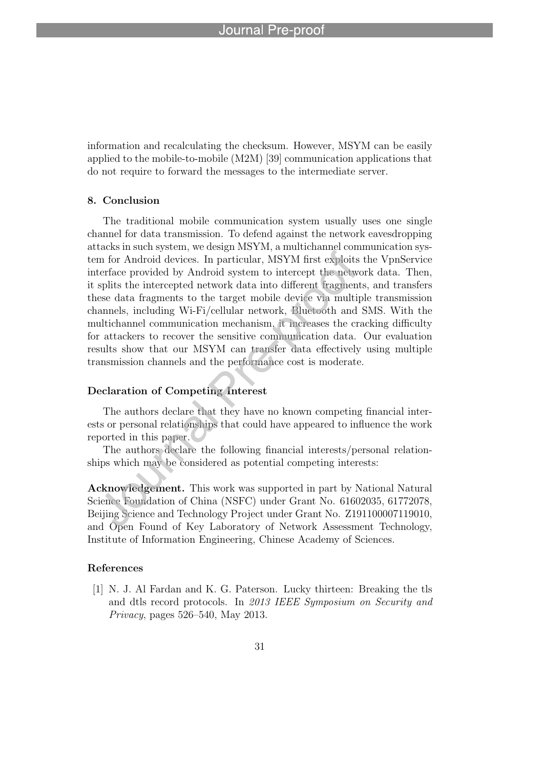information and recalculating the checksum. However, MSYM can be easily applied to the mobile-to-mobile (M2M) [39] communication applications that do not require to forward the messages to the intermediate server.

# 8. Conclusion

The traditional mobile communication system usually uses one single channel for data transmission. To defend against the network eavesdropping attacks in such system, we design MSYM, a multichannel communication system for Android devices. In particular, MSYM first exploits the VpnService interface provided by Android system to intercept the network data. Then, it splits the intercepted network data into different fragments, and transfers these data fragments to the target mobile device via multiple transmission channels, including Wi-Fi/cellular network, Bluetooth and SMS. With the multichannel communication mechanism, it increases the cracking difficulty for attackers to recover the sensitive communication data. Our evaluation results show that our MSYM can transfer data effectively using multiple transmission channels and the performance cost is moderate.

# Declaration of Competing Interest

The authors declare that they have no known competing financial interests or personal relationships that could have appeared to influence the work reported in this paper.

The authors declare the following financial interests/personal relationships which may be considered as potential competing interests:

Acknowledgement. This work was supported in part by National Natural Science Foundation of China (NSFC) under Grant No. 61602035, 61772078, Beijing Science and Technology Project under Grant No. Z191100007119010, and Open Found of Key Laboratory of Network Assessment Technology, Institute of Information Engineering, Chinese Academy of Sciences.

# References

[1] N. J. Al Fardan and K. G. Paterson. Lucky thirteen: Breaking the tls and dtls record protocols. In 2013 IEEE Symposium on Security and Privacy, pages 526–540, May 2013.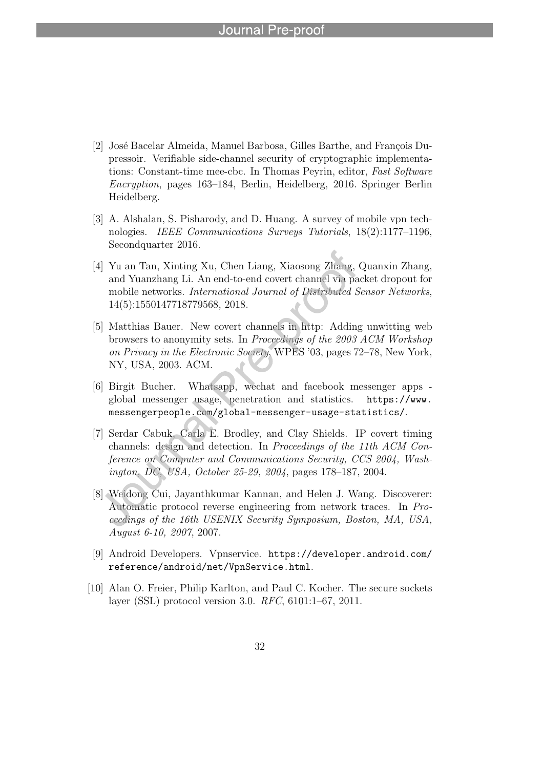- [2] José Bacelar Almeida, Manuel Barbosa, Gilles Barthe, and François Dupressoir. Verifiable side-channel security of cryptographic implementations: Constant-time mee-cbc. In Thomas Peyrin, editor, Fast Software Encryption, pages 163–184, Berlin, Heidelberg, 2016. Springer Berlin Heidelberg.
- [3] A. Alshalan, S. Pisharody, and D. Huang. A survey of mobile vpn technologies. IEEE Communications Surveys Tutorials, 18(2):1177–1196, Secondquarter 2016.
- [4] Yu an Tan, Xinting Xu, Chen Liang, Xiaosong Zhang, Quanxin Zhang, and Yuanzhang Li. An end-to-end covert channel via packet dropout for mobile networks. International Journal of Distributed Sensor Networks, 14(5):1550147718779568, 2018.
- [5] Matthias Bauer. New covert channels in http: Adding unwitting web browsers to anonymity sets. In Proceedings of the 2003 ACM Workshop on Privacy in the Electronic Society, WPES '03, pages 72–78, New York, NY, USA, 2003. ACM.
- [6] Birgit Bucher. Whatsapp, wechat and facebook messenger apps global messenger usage, penetration and statistics. https://www. messengerpeople.com/global-messenger-usage-statistics/.
- [7] Serdar Cabuk, Carla E. Brodley, and Clay Shields. IP covert timing channels: design and detection. In Proceedings of the 11th ACM Conference on Computer and Communications Security, CCS 2004, Washington, DC, USA, October 25-29, 2004, pages 178–187, 2004.
- [8] Weidong Cui, Jayanthkumar Kannan, and Helen J. Wang. Discoverer: Automatic protocol reverse engineering from network traces. In Proceedings of the 16th USENIX Security Symposium, Boston, MA, USA, August 6-10, 2007, 2007.
- [9] Android Developers. Vpnservice. https://developer.android.com/ reference/android/net/VpnService.html.
- [10] Alan O. Freier, Philip Karlton, and Paul C. Kocher. The secure sockets layer (SSL) protocol version 3.0. RFC, 6101:1–67, 2011.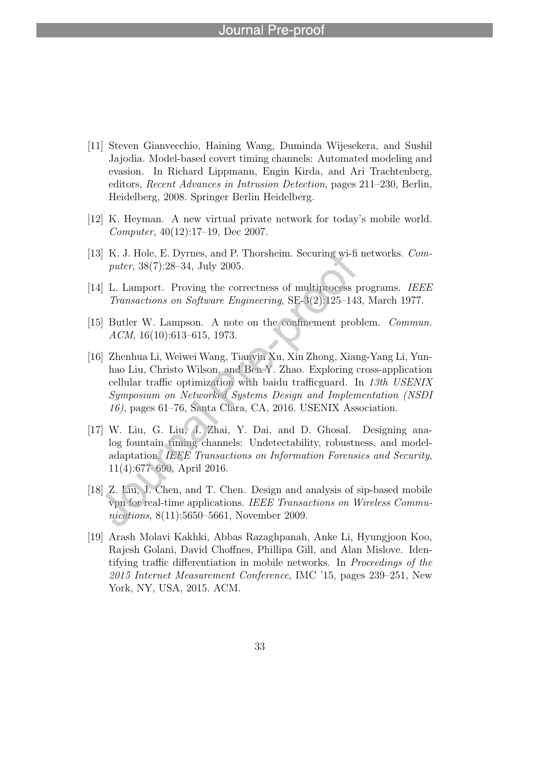#### Journal Pre-proo

- [11] Steven Gianvecchio, Haining Wang, Duminda Wijesekera, and Sushil Jajodia. Model-based covert timing channels: Automated modeling and evasion. In Richard Lippmann, Engin Kirda, and Ari Trachtenberg, editors, Recent Advances in Intrusion Detection, pages 211–230, Berlin, Heidelberg, 2008. Springer Berlin Heidelberg.
- [12] K. Heyman. A new virtual private network for today's mobile world. Computer, 40(12):17–19, Dec 2007.
- [13] K. J. Hole, E. Dyrnes, and P. Thorsheim. Securing wi-fi networks. Computer, 38(7):28–34, July 2005.
- [14] L. Lamport. Proving the correctness of multiprocess programs. IEEE Transactions on Software Engineering, SE-3(2):125–143, March 1977.
- [15] Butler W. Lampson. A note on the confinement problem. Commun. ACM, 16(10):613–615, 1973.
- [16] Zhenhua Li, Weiwei Wang, Tianyin Xu, Xin Zhong, Xiang-Yang Li, Yunhao Liu, Christo Wilson, and Ben Y. Zhao. Exploring cross-application cellular traffic optimization with baidu trafficguard. In 13th USENIX Symposium on Networked Systems Design and Implementation (NSDI 16), pages 61–76, Santa Clara, CA, 2016. USENIX Association.
- [17] W. Liu, G. Liu, J. Zhai, Y. Dai, and D. Ghosal. Designing analog fountain timing channels: Undetectability, robustness, and modeladaptation. IEEE Transactions on Information Forensics and Security, 11(4):677–690, April 2016.
- [18] Z. Liu, J. Chen, and T. Chen. Design and analysis of sip-based mobile vpn for real-time applications. IEEE Transactions on Wireless Communications, 8(11):5650–5661, November 2009.
- [19] Arash Molavi Kakhki, Abbas Razaghpanah, Anke Li, Hyungjoon Koo, Rajesh Golani, David Choffnes, Phillipa Gill, and Alan Mislove. Identifying traffic differentiation in mobile networks. In Proceedings of the 2015 Internet Measurement Conference, IMC '15, pages 239–251, New York, NY, USA, 2015. ACM.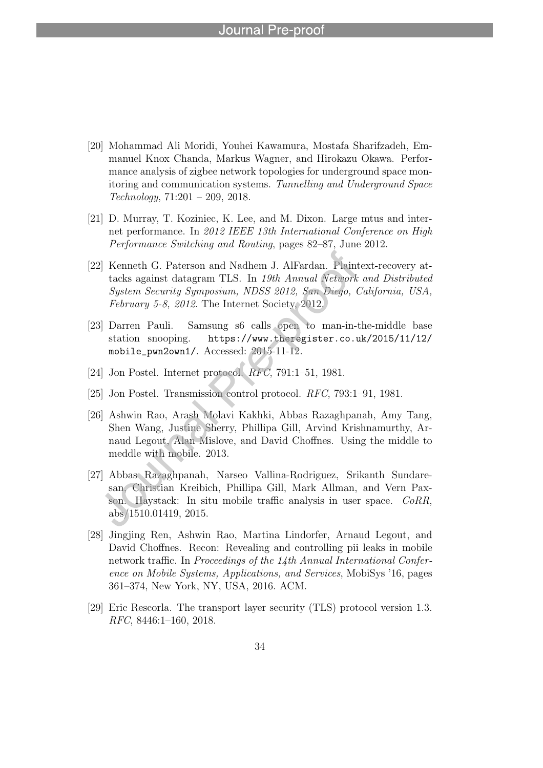#### Journal Pre-proot

- [20] Mohammad Ali Moridi, Youhei Kawamura, Mostafa Sharifzadeh, Emmanuel Knox Chanda, Markus Wagner, and Hirokazu Okawa. Performance analysis of zigbee network topologies for underground space monitoring and communication systems. Tunnelling and Underground Space  $Technology, 71:201 - 209, 2018.$
- [21] D. Murray, T. Koziniec, K. Lee, and M. Dixon. Large mtus and internet performance. In 2012 IEEE 13th International Conference on High Performance Switching and Routing, pages 82–87, June 2012.
- [22] Kenneth G. Paterson and Nadhem J. AlFardan. Plaintext-recovery attacks against datagram TLS. In 19th Annual Network and Distributed System Security Symposium, NDSS 2012, San Diego, California, USA, February 5-8, 2012. The Internet Society, 2012.
- [23] Darren Pauli. Samsung s6 calls open to man-in-the-middle base station snooping. https://www.theregister.co.uk/2015/11/12/ mobile\_pwn2own1/. Accessed: 2015-11-12.
- [24] Jon Postel. Internet protocol. RFC, 791:1–51, 1981.
- [25] Jon Postel. Transmission control protocol. RFC, 793:1–91, 1981.
- [26] Ashwin Rao, Arash Molavi Kakhki, Abbas Razaghpanah, Amy Tang, Shen Wang, Justine Sherry, Phillipa Gill, Arvind Krishnamurthy, Arnaud Legout, Alan Mislove, and David Choffnes. Using the middle to meddle with mobile. 2013.
- [27] Abbas Razaghpanah, Narseo Vallina-Rodriguez, Srikanth Sundaresan, Christian Kreibich, Phillipa Gill, Mark Allman, and Vern Paxson. Haystack: In situ mobile traffic analysis in user space. CoRR, abs/1510.01419, 2015.
- [28] Jingjing Ren, Ashwin Rao, Martina Lindorfer, Arnaud Legout, and David Choffnes. Recon: Revealing and controlling pii leaks in mobile network traffic. In Proceedings of the 14th Annual International Conference on Mobile Systems, Applications, and Services, MobiSys '16, pages 361–374, New York, NY, USA, 2016. ACM.
- [29] Eric Rescorla. The transport layer security (TLS) protocol version 1.3. RFC, 8446:1–160, 2018.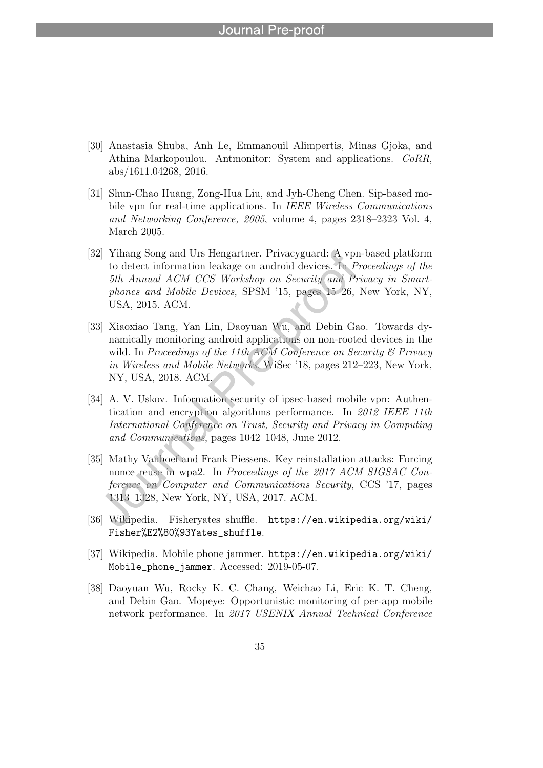#### Journal Pre-proof

- [30] Anastasia Shuba, Anh Le, Emmanouil Alimpertis, Minas Gjoka, and Athina Markopoulou. Antmonitor: System and applications. CoRR, abs/1611.04268, 2016.
- [31] Shun-Chao Huang, Zong-Hua Liu, and Jyh-Cheng Chen. Sip-based mobile vpn for real-time applications. In IEEE Wireless Communications and Networking Conference, 2005, volume 4, pages 2318–2323 Vol. 4, March 2005.
- [32] Yihang Song and Urs Hengartner. Privacyguard: A vpn-based platform to detect information leakage on android devices. In Proceedings of the 5th Annual ACM CCS Workshop on Security and Privacy in Smartphones and Mobile Devices, SPSM '15, pages 15–26, New York, NY, USA, 2015. ACM.
- [33] Xiaoxiao Tang, Yan Lin, Daoyuan Wu, and Debin Gao. Towards dynamically monitoring android applications on non-rooted devices in the wild. In Proceedings of the 11th ACM Conference on Security & Privacy in Wireless and Mobile Networks, WiSec '18, pages 212–223, New York, NY, USA, 2018. ACM.
- [34] A. V. Uskov. Information security of ipsec-based mobile vpn: Authentication and encryption algorithms performance. In 2012 IEEE 11th International Conference on Trust, Security and Privacy in Computing and Communications, pages 1042–1048, June 2012.
- [35] Mathy Vanhoef and Frank Piessens. Key reinstallation attacks: Forcing nonce reuse in wpa2. In Proceedings of the 2017 ACM SIGSAC Conference on Computer and Communications Security, CCS '17, pages 1313–1328, New York, NY, USA, 2017. ACM.
- [36] Wikipedia. Fisheryates shuffle. https://en.wikipedia.org/wiki/ Fisher%E2%80%93Yates\_shuffle.
- [37] Wikipedia. Mobile phone jammer. https://en.wikipedia.org/wiki/ Mobile\_phone\_jammer. Accessed: 2019-05-07.
- [38] Daoyuan Wu, Rocky K. C. Chang, Weichao Li, Eric K. T. Cheng, and Debin Gao. Mopeye: Opportunistic monitoring of per-app mobile network performance. In 2017 USENIX Annual Technical Conference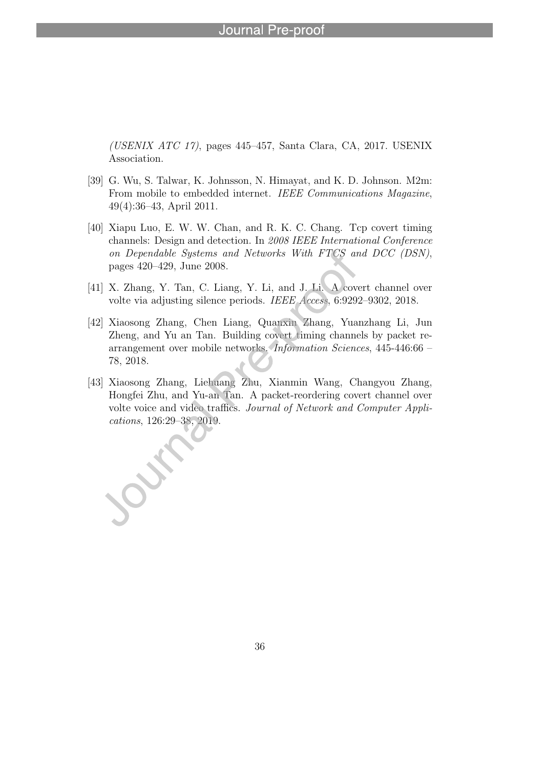(USENIX ATC 17), pages 445–457, Santa Clara, CA, 2017. USENIX Association.

- [39] G. Wu, S. Talwar, K. Johnsson, N. Himayat, and K. D. Johnson. M2m: From mobile to embedded internet. IEEE Communications Magazine, 49(4):36–43, April 2011.
- [40] Xiapu Luo, E. W. W. Chan, and R. K. C. Chang. Tcp covert timing channels: Design and detection. In 2008 IEEE International Conference on Dependable Systems and Networks With FTCS and DCC (DSN), pages 420–429, June 2008.
- [41] X. Zhang, Y. Tan, C. Liang, Y. Li, and J. Li. A covert channel over volte via adjusting silence periods. IEEE Access, 6:9292–9302, 2018.
- [42] Xiaosong Zhang, Chen Liang, Quanxin Zhang, Yuanzhang Li, Jun Zheng, and Yu an Tan. Building covert timing channels by packet rearrangement over mobile networks. Information Sciences, 445-446:66 – 78, 2018.
- [43] Xiaosong Zhang, Liehuang Zhu, Xianmin Wang, Changyou Zhang, Hongfei Zhu, and Yu-an Tan. A packet-reordering covert channel over volte voice and video traffics. Journal of Network and Computer Applications, 126:29–38, 2019.